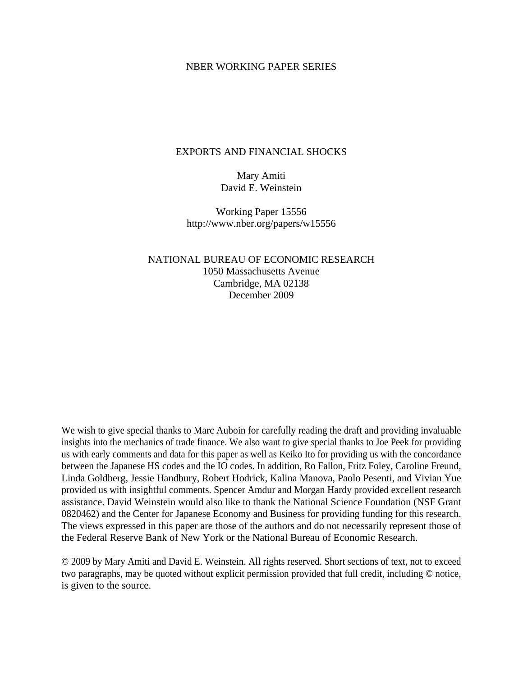# NBER WORKING PAPER SERIES

#### EXPORTS AND FINANCIAL SHOCKS

Mary Amiti David E. Weinstein

Working Paper 15556 http://www.nber.org/papers/w15556

NATIONAL BUREAU OF ECONOMIC RESEARCH 1050 Massachusetts Avenue Cambridge, MA 02138 December 2009

We wish to give special thanks to Marc Auboin for carefully reading the draft and providing invaluable insights into the mechanics of trade finance. We also want to give special thanks to Joe Peek for providing us with early comments and data for this paper as well as Keiko Ito for providing us with the concordance between the Japanese HS codes and the IO codes. In addition, Ro Fallon, Fritz Foley, Caroline Freund, Linda Goldberg, Jessie Handbury, Robert Hodrick, Kalina Manova, Paolo Pesenti, and Vivian Yue provided us with insightful comments. Spencer Amdur and Morgan Hardy provided excellent research assistance. David Weinstein would also like to thank the National Science Foundation (NSF Grant 0820462) and the Center for Japanese Economy and Business for providing funding for this research. The views expressed in this paper are those of the authors and do not necessarily represent those of the Federal Reserve Bank of New York or the National Bureau of Economic Research.

© 2009 by Mary Amiti and David E. Weinstein. All rights reserved. Short sections of text, not to exceed two paragraphs, may be quoted without explicit permission provided that full credit, including © notice, is given to the source.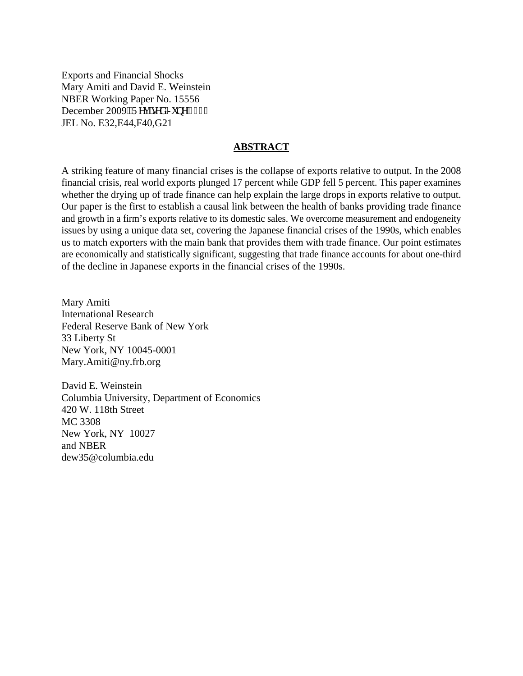Exports and Financial Shocks Mary Amiti and David E. Weinstein NBER Working Paper No. 15556 December 2009. Tgxkugf "Lypg"4232 JEL No. E32,E44,F40,G21

#### **ABSTRACT**

A striking feature of many financial crises is the collapse of exports relative to output. In the 2008 financial crisis, real world exports plunged 17 percent while GDP fell 5 percent. This paper examines whether the drying up of trade finance can help explain the large drops in exports relative to output. Our paper is the first to establish a causal link between the health of banks providing trade finance and growth in a firm's exports relative to its domestic sales. We overcome measurement and endogeneity issues by using a unique data set, covering the Japanese financial crises of the 1990s, which enables us to match exporters with the main bank that provides them with trade finance. Our point estimates are economically and statistically significant, suggesting that trade finance accounts for about one-third of the decline in Japanese exports in the financial crises of the 1990s.

Mary Amiti International Research Federal Reserve Bank of New York 33 Liberty St New York, NY 10045-0001 Mary.Amiti@ny.frb.org

David E. Weinstein Columbia University, Department of Economics 420 W. 118th Street MC 3308 New York, NY 10027 and NBER dew35@columbia.edu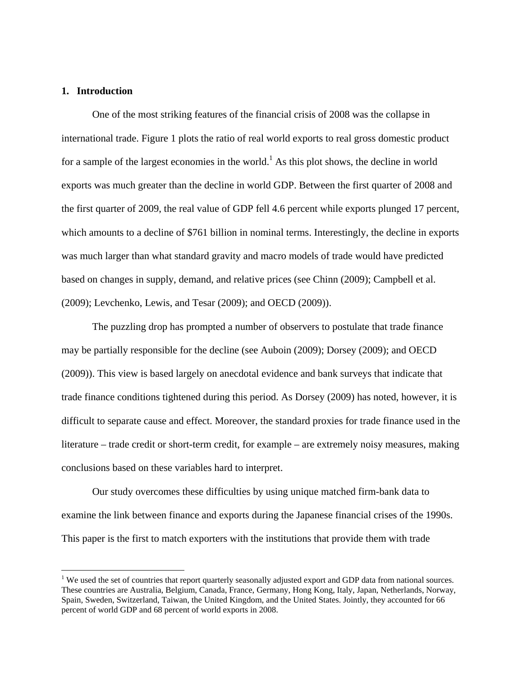# **1. Introduction**

 $\overline{a}$ 

 One of the most striking features of the financial crisis of 2008 was the collapse in international trade. Figure 1 plots the ratio of real world exports to real gross domestic product for a sample of the largest economies in the world.<sup>1</sup> As this plot shows, the decline in world exports was much greater than the decline in world GDP. Between the first quarter of 2008 and the first quarter of 2009, the real value of GDP fell 4.6 percent while exports plunged 17 percent, which amounts to a decline of \$761 billion in nominal terms. Interestingly, the decline in exports was much larger than what standard gravity and macro models of trade would have predicted based on changes in supply, demand, and relative prices (see Chinn (2009); Campbell et al. (2009); Levchenko, Lewis, and Tesar (2009); and OECD (2009)).

The puzzling drop has prompted a number of observers to postulate that trade finance may be partially responsible for the decline (see Auboin (2009); Dorsey (2009); and OECD (2009)). This view is based largely on anecdotal evidence and bank surveys that indicate that trade finance conditions tightened during this period. As Dorsey (2009) has noted, however, it is difficult to separate cause and effect. Moreover, the standard proxies for trade finance used in the literature – trade credit or short-term credit, for example – are extremely noisy measures, making conclusions based on these variables hard to interpret.

Our study overcomes these difficulties by using unique matched firm-bank data to examine the link between finance and exports during the Japanese financial crises of the 1990s. This paper is the first to match exporters with the institutions that provide them with trade

 $1$  We used the set of countries that report quarterly seasonally adjusted export and GDP data from national sources. These countries are Australia, Belgium, Canada, France, Germany, Hong Kong, Italy, Japan, Netherlands, Norway, Spain, Sweden, Switzerland, Taiwan, the United Kingdom, and the United States. Jointly, they accounted for 66 percent of world GDP and 68 percent of world exports in 2008.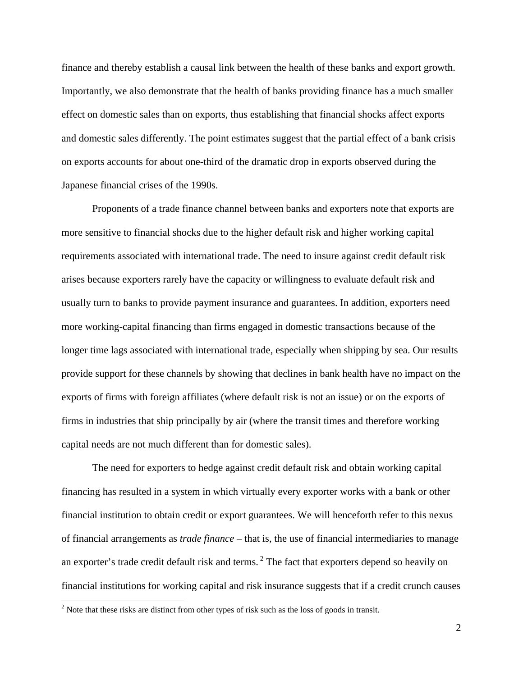finance and thereby establish a causal link between the health of these banks and export growth. Importantly, we also demonstrate that the health of banks providing finance has a much smaller effect on domestic sales than on exports, thus establishing that financial shocks affect exports and domestic sales differently. The point estimates suggest that the partial effect of a bank crisis on exports accounts for about one-third of the dramatic drop in exports observed during the Japanese financial crises of the 1990s.

Proponents of a trade finance channel between banks and exporters note that exports are more sensitive to financial shocks due to the higher default risk and higher working capital requirements associated with international trade. The need to insure against credit default risk arises because exporters rarely have the capacity or willingness to evaluate default risk and usually turn to banks to provide payment insurance and guarantees. In addition, exporters need more working-capital financing than firms engaged in domestic transactions because of the longer time lags associated with international trade, especially when shipping by sea. Our results provide support for these channels by showing that declines in bank health have no impact on the exports of firms with foreign affiliates (where default risk is not an issue) or on the exports of firms in industries that ship principally by air (where the transit times and therefore working capital needs are not much different than for domestic sales).

The need for exporters to hedge against credit default risk and obtain working capital financing has resulted in a system in which virtually every exporter works with a bank or other financial institution to obtain credit or export guarantees. We will henceforth refer to this nexus of financial arrangements as *trade finance* – that is, the use of financial intermediaries to manage an exporter's trade credit default risk and terms.<sup>2</sup> The fact that exporters depend so heavily on financial institutions for working capital and risk insurance suggests that if a credit crunch causes

<u>.</u>

 $2^{2}$  Note that these risks are distinct from other types of risk such as the loss of goods in transit.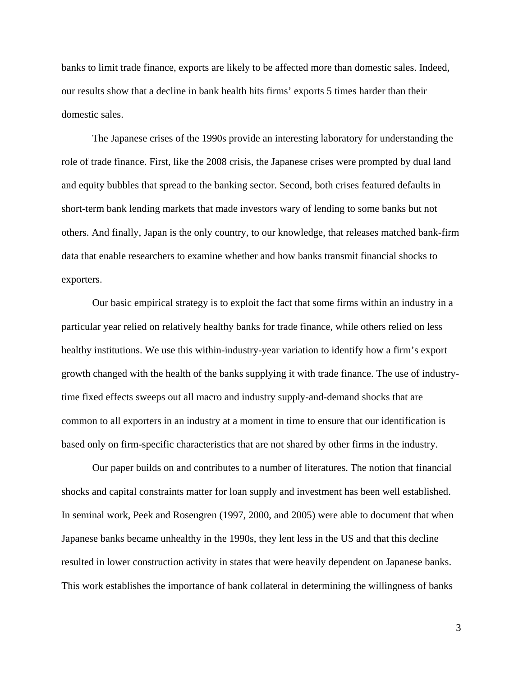banks to limit trade finance, exports are likely to be affected more than domestic sales. Indeed, our results show that a decline in bank health hits firms' exports 5 times harder than their domestic sales.

The Japanese crises of the 1990s provide an interesting laboratory for understanding the role of trade finance. First, like the 2008 crisis, the Japanese crises were prompted by dual land and equity bubbles that spread to the banking sector. Second, both crises featured defaults in short-term bank lending markets that made investors wary of lending to some banks but not others. And finally, Japan is the only country, to our knowledge, that releases matched bank-firm data that enable researchers to examine whether and how banks transmit financial shocks to exporters.

Our basic empirical strategy is to exploit the fact that some firms within an industry in a particular year relied on relatively healthy banks for trade finance, while others relied on less healthy institutions. We use this within-industry-year variation to identify how a firm's export growth changed with the health of the banks supplying it with trade finance. The use of industrytime fixed effects sweeps out all macro and industry supply-and-demand shocks that are common to all exporters in an industry at a moment in time to ensure that our identification is based only on firm-specific characteristics that are not shared by other firms in the industry.

 Our paper builds on and contributes to a number of literatures. The notion that financial shocks and capital constraints matter for loan supply and investment has been well established. In seminal work, Peek and Rosengren (1997, 2000, and 2005) were able to document that when Japanese banks became unhealthy in the 1990s, they lent less in the US and that this decline resulted in lower construction activity in states that were heavily dependent on Japanese banks. This work establishes the importance of bank collateral in determining the willingness of banks

3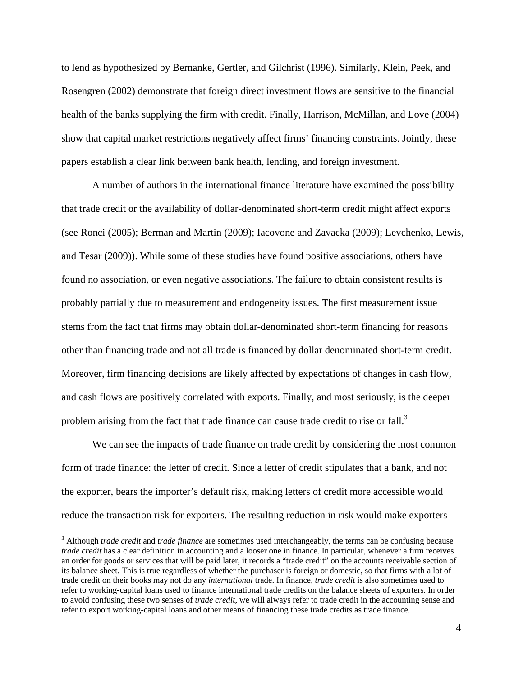to lend as hypothesized by Bernanke, Gertler, and Gilchrist (1996). Similarly, Klein, Peek, and Rosengren (2002) demonstrate that foreign direct investment flows are sensitive to the financial health of the banks supplying the firm with credit. Finally, Harrison, McMillan, and Love (2004) show that capital market restrictions negatively affect firms' financing constraints. Jointly, these papers establish a clear link between bank health, lending, and foreign investment.

A number of authors in the international finance literature have examined the possibility that trade credit or the availability of dollar-denominated short-term credit might affect exports (see Ronci (2005); Berman and Martin (2009); Iacovone and Zavacka (2009); Levchenko, Lewis, and Tesar (2009)). While some of these studies have found positive associations, others have found no association, or even negative associations. The failure to obtain consistent results is probably partially due to measurement and endogeneity issues. The first measurement issue stems from the fact that firms may obtain dollar-denominated short-term financing for reasons other than financing trade and not all trade is financed by dollar denominated short-term credit. Moreover, firm financing decisions are likely affected by expectations of changes in cash flow, and cash flows are positively correlated with exports. Finally, and most seriously, is the deeper problem arising from the fact that trade finance can cause trade credit to rise or fall.<sup>3</sup>

We can see the impacts of trade finance on trade credit by considering the most common form of trade finance: the letter of credit. Since a letter of credit stipulates that a bank, and not the exporter, bears the importer's default risk, making letters of credit more accessible would reduce the transaction risk for exporters. The resulting reduction in risk would make exporters

<sup>3</sup> Although *trade credit* and *trade finance* are sometimes used interchangeably, the terms can be confusing because *trade credit* has a clear definition in accounting and a looser one in finance. In particular, whenever a firm receives an order for goods or services that will be paid later, it records a "trade credit" on the accounts receivable section of its balance sheet. This is true regardless of whether the purchaser is foreign or domestic, so that firms with a lot of trade credit on their books may not do any *international* trade. In finance, *trade credit* is also sometimes used to refer to working-capital loans used to finance international trade credits on the balance sheets of exporters. In order to avoid confusing these two senses of *trade credit*, we will always refer to trade credit in the accounting sense and refer to export working-capital loans and other means of financing these trade credits as trade finance.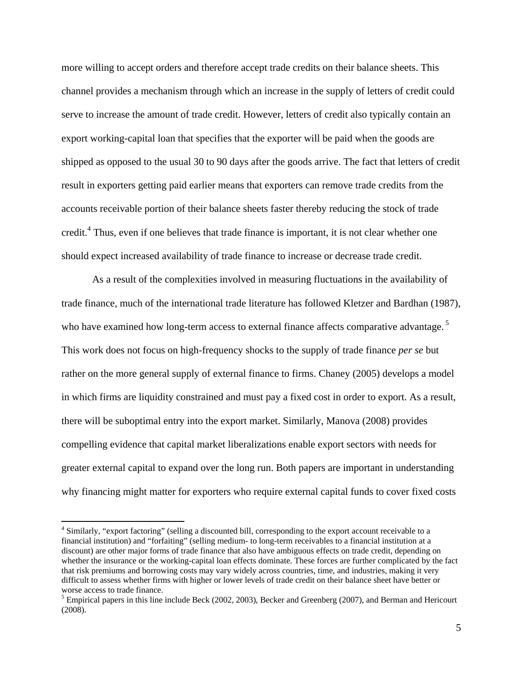more willing to accept orders and therefore accept trade credits on their balance sheets. This channel provides a mechanism through which an increase in the supply of letters of credit could serve to increase the amount of trade credit. However, letters of credit also typically contain an export working-capital loan that specifies that the exporter will be paid when the goods are shipped as opposed to the usual 30 to 90 days after the goods arrive. The fact that letters of credit result in exporters getting paid earlier means that exporters can remove trade credits from the accounts receivable portion of their balance sheets faster thereby reducing the stock of trade credit.<sup>4</sup> Thus, even if one believes that trade finance is important, it is not clear whether one should expect increased availability of trade finance to increase or decrease trade credit.

As a result of the complexities involved in measuring fluctuations in the availability of trade finance, much of the international trade literature has followed Kletzer and Bardhan (1987), who have examined how long-term access to external finance affects comparative advantage.<sup>5</sup> This work does not focus on high-frequency shocks to the supply of trade finance *per se* but rather on the more general supply of external finance to firms. Chaney (2005) develops a model in which firms are liquidity constrained and must pay a fixed cost in order to export. As a result, there will be suboptimal entry into the export market. Similarly, Manova (2008) provides compelling evidence that capital market liberalizations enable export sectors with needs for greater external capital to expand over the long run. Both papers are important in understanding why financing might matter for exporters who require external capital funds to cover fixed costs

<sup>&</sup>lt;sup>4</sup> Similarly, "export factoring" (selling a discounted bill, corresponding to the export account receivable to a financial institution) and "forfaiting" (selling medium- to long-term receivables to a financial institution at a discount) are other major forms of trade finance that also have ambiguous effects on trade credit, depending on whether the insurance or the working-capital loan effects dominate. These forces are further complicated by the fact that risk premiums and borrowing costs may vary widely across countries, time, and industries, making it very difficult to assess whether firms with higher or lower levels of trade credit on their balance sheet have better or worse access to trade finance.

 $<sup>5</sup>$  Empirical papers in this line include Beck (2002, 2003), Becker and Greenberg (2007), and Berman and Hericourt</sup> (2008).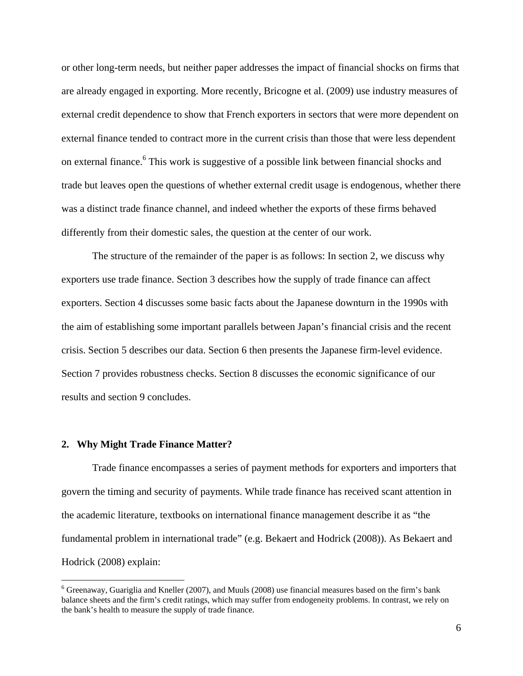or other long-term needs, but neither paper addresses the impact of financial shocks on firms that are already engaged in exporting. More recently, Bricogne et al. (2009) use industry measures of external credit dependence to show that French exporters in sectors that were more dependent on external finance tended to contract more in the current crisis than those that were less dependent on external finance.<sup>6</sup> This work is suggestive of a possible link between financial shocks and trade but leaves open the questions of whether external credit usage is endogenous, whether there was a distinct trade finance channel, and indeed whether the exports of these firms behaved differently from their domestic sales, the question at the center of our work.

The structure of the remainder of the paper is as follows: In section 2, we discuss why exporters use trade finance. Section 3 describes how the supply of trade finance can affect exporters. Section 4 discusses some basic facts about the Japanese downturn in the 1990s with the aim of establishing some important parallels between Japan's financial crisis and the recent crisis. Section 5 describes our data. Section 6 then presents the Japanese firm-level evidence. Section 7 provides robustness checks. Section 8 discusses the economic significance of our results and section 9 concludes.

#### **2. Why Might Trade Finance Matter?**

 $\overline{a}$ 

 Trade finance encompasses a series of payment methods for exporters and importers that govern the timing and security of payments. While trade finance has received scant attention in the academic literature, textbooks on international finance management describe it as "the fundamental problem in international trade" (e.g. Bekaert and Hodrick (2008)). As Bekaert and Hodrick (2008) explain:

<sup>&</sup>lt;sup>6</sup> Greenaway, Guariglia and Kneller (2007), and Muuls (2008) use financial measures based on the firm's bank balance sheets and the firm's credit ratings, which may suffer from endogeneity problems. In contrast, we rely on the bank's health to measure the supply of trade finance.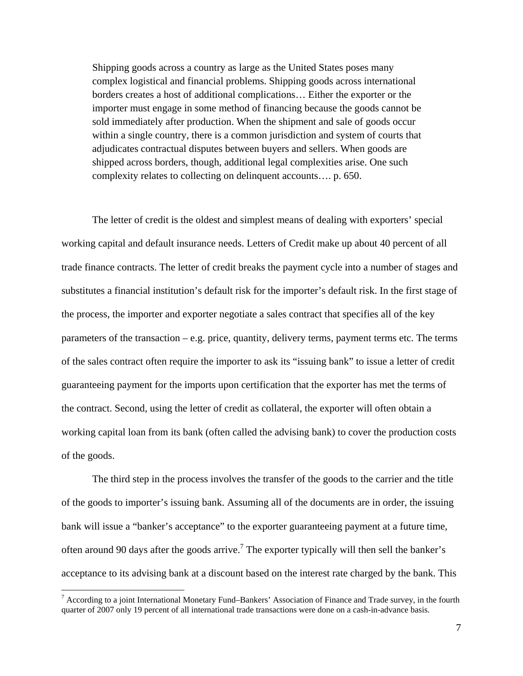Shipping goods across a country as large as the United States poses many complex logistical and financial problems. Shipping goods across international borders creates a host of additional complications… Either the exporter or the importer must engage in some method of financing because the goods cannot be sold immediately after production. When the shipment and sale of goods occur within a single country, there is a common jurisdiction and system of courts that adjudicates contractual disputes between buyers and sellers. When goods are shipped across borders, though, additional legal complexities arise. One such complexity relates to collecting on delinquent accounts…. p. 650.

The letter of credit is the oldest and simplest means of dealing with exporters' special working capital and default insurance needs. Letters of Credit make up about 40 percent of all trade finance contracts. The letter of credit breaks the payment cycle into a number of stages and substitutes a financial institution's default risk for the importer's default risk. In the first stage of the process, the importer and exporter negotiate a sales contract that specifies all of the key parameters of the transaction – e.g. price, quantity, delivery terms, payment terms etc. The terms of the sales contract often require the importer to ask its "issuing bank" to issue a letter of credit guaranteeing payment for the imports upon certification that the exporter has met the terms of the contract. Second, using the letter of credit as collateral, the exporter will often obtain a working capital loan from its bank (often called the advising bank) to cover the production costs of the goods.

 The third step in the process involves the transfer of the goods to the carrier and the title of the goods to importer's issuing bank. Assuming all of the documents are in order, the issuing bank will issue a "banker's acceptance" to the exporter guaranteeing payment at a future time, often around 90 days after the goods arrive.<sup>7</sup> The exporter typically will then sell the banker's acceptance to its advising bank at a discount based on the interest rate charged by the bank. This

<sup>&</sup>lt;sup>7</sup> According to a joint International Monetary Fund–Bankers' Association of Finance and Trade survey, in the fourth quarter of 2007 only 19 percent of all international trade transactions were done on a cash-in-advance basis.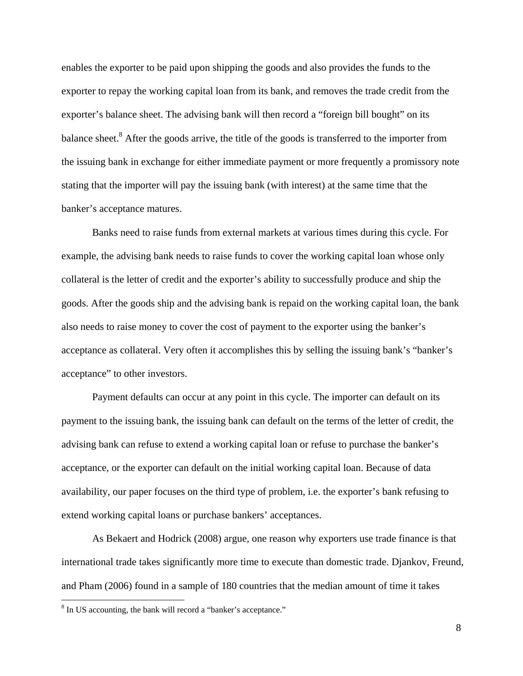enables the exporter to be paid upon shipping the goods and also provides the funds to the exporter to repay the working capital loan from its bank, and removes the trade credit from the exporter's balance sheet. The advising bank will then record a "foreign bill bought" on its balance sheet.<sup>8</sup> After the goods arrive, the title of the goods is transferred to the importer from the issuing bank in exchange for either immediate payment or more frequently a promissory note stating that the importer will pay the issuing bank (with interest) at the same time that the banker's acceptance matures.

Banks need to raise funds from external markets at various times during this cycle. For example, the advising bank needs to raise funds to cover the working capital loan whose only collateral is the letter of credit and the exporter's ability to successfully produce and ship the goods. After the goods ship and the advising bank is repaid on the working capital loan, the bank also needs to raise money to cover the cost of payment to the exporter using the banker's acceptance as collateral. Very often it accomplishes this by selling the issuing bank's "banker's acceptance" to other investors.

Payment defaults can occur at any point in this cycle. The importer can default on its payment to the issuing bank, the issuing bank can default on the terms of the letter of credit, the advising bank can refuse to extend a working capital loan or refuse to purchase the banker's acceptance, or the exporter can default on the initial working capital loan. Because of data availability, our paper focuses on the third type of problem, i.e. the exporter's bank refusing to extend working capital loans or purchase bankers' acceptances.

As Bekaert and Hodrick (2008) argue, one reason why exporters use trade finance is that international trade takes significantly more time to execute than domestic trade. Djankov, Freund, and Pham (2006) found in a sample of 180 countries that the median amount of time it takes

<sup>&</sup>lt;sup>8</sup> In US accounting, the bank will record a "banker's acceptance."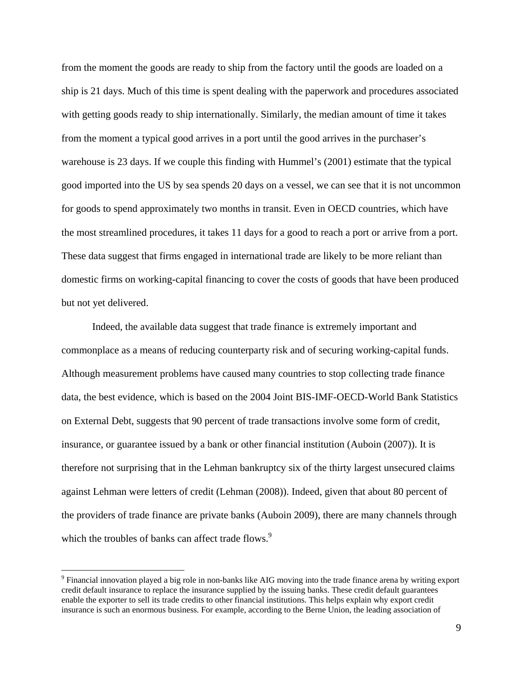from the moment the goods are ready to ship from the factory until the goods are loaded on a ship is 21 days. Much of this time is spent dealing with the paperwork and procedures associated with getting goods ready to ship internationally. Similarly, the median amount of time it takes from the moment a typical good arrives in a port until the good arrives in the purchaser's warehouse is 23 days. If we couple this finding with Hummel's (2001) estimate that the typical good imported into the US by sea spends 20 days on a vessel, we can see that it is not uncommon for goods to spend approximately two months in transit. Even in OECD countries, which have the most streamlined procedures, it takes 11 days for a good to reach a port or arrive from a port. These data suggest that firms engaged in international trade are likely to be more reliant than domestic firms on working-capital financing to cover the costs of goods that have been produced but not yet delivered.

Indeed, the available data suggest that trade finance is extremely important and commonplace as a means of reducing counterparty risk and of securing working-capital funds. Although measurement problems have caused many countries to stop collecting trade finance data, the best evidence, which is based on the 2004 Joint BIS-IMF-OECD-World Bank Statistics on External Debt, suggests that 90 percent of trade transactions involve some form of credit, insurance, or guarantee issued by a bank or other financial institution (Auboin (2007)). It is therefore not surprising that in the Lehman bankruptcy six of the thirty largest unsecured claims against Lehman were letters of credit (Lehman (2008)). Indeed, given that about 80 percent of the providers of trade finance are private banks (Auboin 2009), there are many channels through which the troubles of banks can affect trade flows.<sup>9</sup>

<sup>&</sup>lt;sup>9</sup> Financial innovation played a big role in non-banks like AIG moving into the trade finance arena by writing export credit default insurance to replace the insurance supplied by the issuing banks. These credit default guarantees enable the exporter to sell its trade credits to other financial institutions. This helps explain why export credit insurance is such an enormous business. For example, according to the Berne Union, the leading association of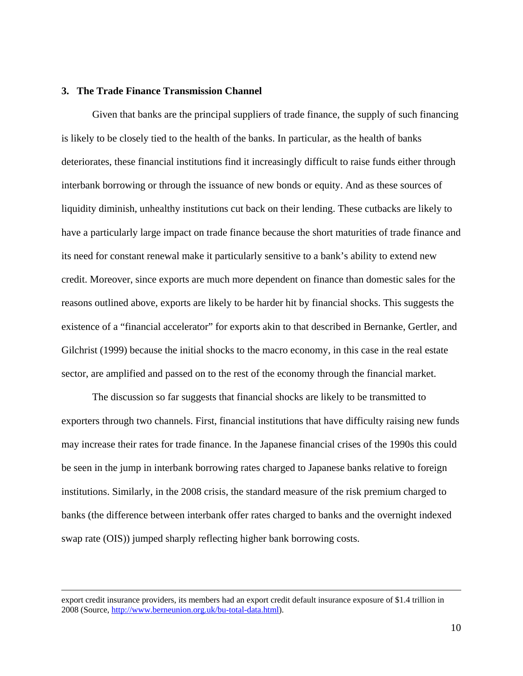# **3. The Trade Finance Transmission Channel**

 Given that banks are the principal suppliers of trade finance, the supply of such financing is likely to be closely tied to the health of the banks. In particular, as the health of banks deteriorates, these financial institutions find it increasingly difficult to raise funds either through interbank borrowing or through the issuance of new bonds or equity. And as these sources of liquidity diminish, unhealthy institutions cut back on their lending. These cutbacks are likely to have a particularly large impact on trade finance because the short maturities of trade finance and its need for constant renewal make it particularly sensitive to a bank's ability to extend new credit. Moreover, since exports are much more dependent on finance than domestic sales for the reasons outlined above, exports are likely to be harder hit by financial shocks. This suggests the existence of a "financial accelerator" for exports akin to that described in Bernanke, Gertler, and Gilchrist (1999) because the initial shocks to the macro economy, in this case in the real estate sector, are amplified and passed on to the rest of the economy through the financial market.

The discussion so far suggests that financial shocks are likely to be transmitted to exporters through two channels. First, financial institutions that have difficulty raising new funds may increase their rates for trade finance. In the Japanese financial crises of the 1990s this could be seen in the jump in interbank borrowing rates charged to Japanese banks relative to foreign institutions. Similarly, in the 2008 crisis, the standard measure of the risk premium charged to banks (the difference between interbank offer rates charged to banks and the overnight indexed swap rate (OIS)) jumped sharply reflecting higher bank borrowing costs.

export credit insurance providers, its members had an export credit default insurance exposure of \$1.4 trillion in 2008 (Source, http://www.berneunion.org.uk/bu-total-data.html).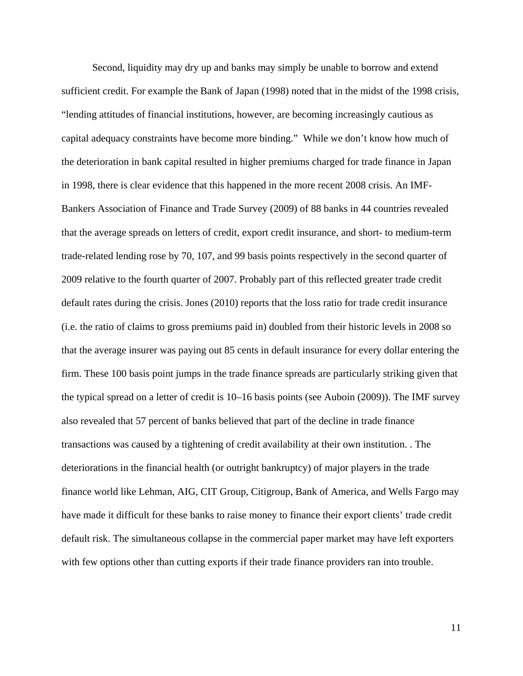Second, liquidity may dry up and banks may simply be unable to borrow and extend sufficient credit. For example the Bank of Japan (1998) noted that in the midst of the 1998 crisis, "lending attitudes of financial institutions, however, are becoming increasingly cautious as capital adequacy constraints have become more binding." While we don't know how much of the deterioration in bank capital resulted in higher premiums charged for trade finance in Japan in 1998, there is clear evidence that this happened in the more recent 2008 crisis. An IMF-Bankers Association of Finance and Trade Survey (2009) of 88 banks in 44 countries revealed that the average spreads on letters of credit, export credit insurance, and short- to medium-term trade-related lending rose by 70, 107, and 99 basis points respectively in the second quarter of 2009 relative to the fourth quarter of 2007. Probably part of this reflected greater trade credit default rates during the crisis. Jones (2010) reports that the loss ratio for trade credit insurance (i.e. the ratio of claims to gross premiums paid in) doubled from their historic levels in 2008 so that the average insurer was paying out 85 cents in default insurance for every dollar entering the firm. These 100 basis point jumps in the trade finance spreads are particularly striking given that the typical spread on a letter of credit is 10–16 basis points (see Auboin (2009)). The IMF survey also revealed that 57 percent of banks believed that part of the decline in trade finance transactions was caused by a tightening of credit availability at their own institution. . The deteriorations in the financial health (or outright bankruptcy) of major players in the trade finance world like Lehman, AIG, CIT Group, Citigroup, Bank of America, and Wells Fargo may have made it difficult for these banks to raise money to finance their export clients' trade credit default risk. The simultaneous collapse in the commercial paper market may have left exporters with few options other than cutting exports if their trade finance providers ran into trouble.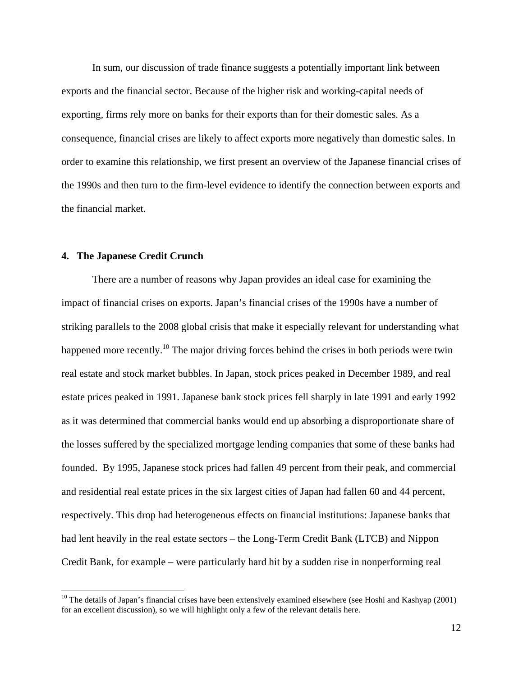In sum, our discussion of trade finance suggests a potentially important link between exports and the financial sector. Because of the higher risk and working-capital needs of exporting, firms rely more on banks for their exports than for their domestic sales. As a consequence, financial crises are likely to affect exports more negatively than domestic sales. In order to examine this relationship, we first present an overview of the Japanese financial crises of the 1990s and then turn to the firm-level evidence to identify the connection between exports and the financial market.

#### **4. The Japanese Credit Crunch**

 $\overline{a}$ 

 There are a number of reasons why Japan provides an ideal case for examining the impact of financial crises on exports. Japan's financial crises of the 1990s have a number of striking parallels to the 2008 global crisis that make it especially relevant for understanding what happened more recently.<sup>10</sup> The major driving forces behind the crises in both periods were twin real estate and stock market bubbles. In Japan, stock prices peaked in December 1989, and real estate prices peaked in 1991. Japanese bank stock prices fell sharply in late 1991 and early 1992 as it was determined that commercial banks would end up absorbing a disproportionate share of the losses suffered by the specialized mortgage lending companies that some of these banks had founded. By 1995, Japanese stock prices had fallen 49 percent from their peak, and commercial and residential real estate prices in the six largest cities of Japan had fallen 60 and 44 percent, respectively. This drop had heterogeneous effects on financial institutions: Japanese banks that had lent heavily in the real estate sectors – the Long-Term Credit Bank (LTCB) and Nippon Credit Bank, for example – were particularly hard hit by a sudden rise in nonperforming real

 $10$  The details of Japan's financial crises have been extensively examined elsewhere (see Hoshi and Kashyap (2001) for an excellent discussion), so we will highlight only a few of the relevant details here.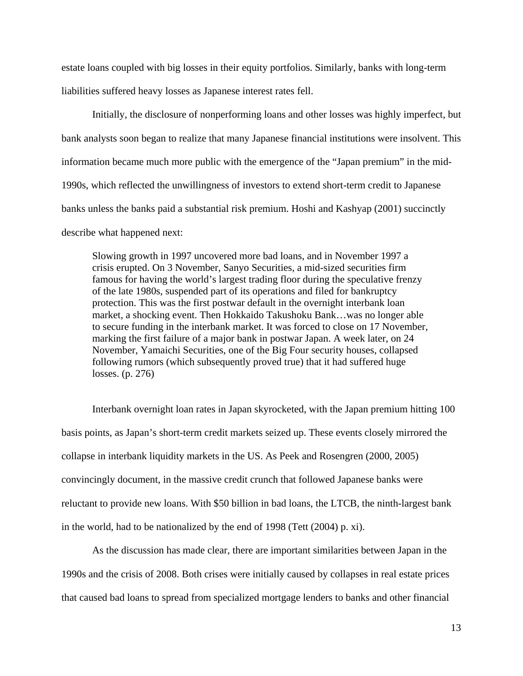estate loans coupled with big losses in their equity portfolios. Similarly, banks with long-term liabilities suffered heavy losses as Japanese interest rates fell.

 Initially, the disclosure of nonperforming loans and other losses was highly imperfect, but bank analysts soon began to realize that many Japanese financial institutions were insolvent. This information became much more public with the emergence of the "Japan premium" in the mid-1990s, which reflected the unwillingness of investors to extend short-term credit to Japanese banks unless the banks paid a substantial risk premium. Hoshi and Kashyap (2001) succinctly describe what happened next:

Slowing growth in 1997 uncovered more bad loans, and in November 1997 a crisis erupted. On 3 November, Sanyo Securities, a mid-sized securities firm famous for having the world's largest trading floor during the speculative frenzy of the late 1980s, suspended part of its operations and filed for bankruptcy protection. This was the first postwar default in the overnight interbank loan market, a shocking event. Then Hokkaido Takushoku Bank…was no longer able to secure funding in the interbank market. It was forced to close on 17 November, marking the first failure of a major bank in postwar Japan. A week later, on 24 November, Yamaichi Securities, one of the Big Four security houses, collapsed following rumors (which subsequently proved true) that it had suffered huge losses. (p. 276)

Interbank overnight loan rates in Japan skyrocketed, with the Japan premium hitting 100 basis points, as Japan's short-term credit markets seized up. These events closely mirrored the collapse in interbank liquidity markets in the US. As Peek and Rosengren (2000, 2005) convincingly document, in the massive credit crunch that followed Japanese banks were reluctant to provide new loans. With \$50 billion in bad loans, the LTCB, the ninth-largest bank in the world, had to be nationalized by the end of 1998 (Tett (2004) p. xi).

As the discussion has made clear, there are important similarities between Japan in the 1990s and the crisis of 2008. Both crises were initially caused by collapses in real estate prices that caused bad loans to spread from specialized mortgage lenders to banks and other financial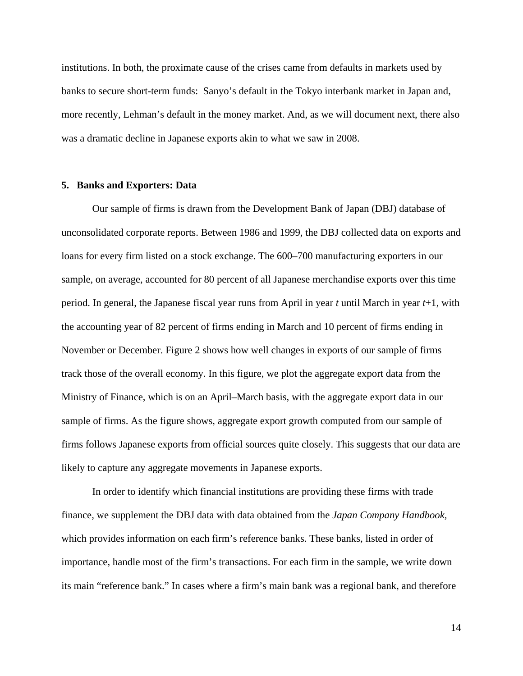institutions. In both, the proximate cause of the crises came from defaults in markets used by banks to secure short-term funds: Sanyo's default in the Tokyo interbank market in Japan and, more recently, Lehman's default in the money market. And, as we will document next, there also was a dramatic decline in Japanese exports akin to what we saw in 2008.

#### **5. Banks and Exporters: Data**

Our sample of firms is drawn from the Development Bank of Japan (DBJ) database of unconsolidated corporate reports. Between 1986 and 1999, the DBJ collected data on exports and loans for every firm listed on a stock exchange. The 600–700 manufacturing exporters in our sample, on average, accounted for 80 percent of all Japanese merchandise exports over this time period. In general, the Japanese fiscal year runs from April in year *t* until March in year *t*+1, with the accounting year of 82 percent of firms ending in March and 10 percent of firms ending in November or December. Figure 2 shows how well changes in exports of our sample of firms track those of the overall economy. In this figure, we plot the aggregate export data from the Ministry of Finance, which is on an April–March basis, with the aggregate export data in our sample of firms. As the figure shows, aggregate export growth computed from our sample of firms follows Japanese exports from official sources quite closely. This suggests that our data are likely to capture any aggregate movements in Japanese exports.

In order to identify which financial institutions are providing these firms with trade finance, we supplement the DBJ data with data obtained from the *Japan Company Handbook,* which provides information on each firm's reference banks. These banks, listed in order of importance, handle most of the firm's transactions. For each firm in the sample, we write down its main "reference bank." In cases where a firm's main bank was a regional bank, and therefore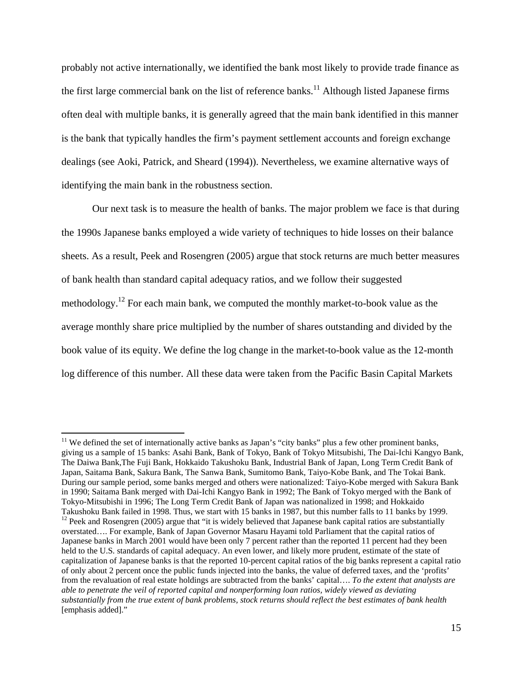probably not active internationally, we identified the bank most likely to provide trade finance as the first large commercial bank on the list of reference banks.<sup>11</sup> Although listed Japanese firms often deal with multiple banks, it is generally agreed that the main bank identified in this manner is the bank that typically handles the firm's payment settlement accounts and foreign exchange dealings (see Aoki, Patrick, and Sheard (1994)). Nevertheless, we examine alternative ways of identifying the main bank in the robustness section.

Our next task is to measure the health of banks. The major problem we face is that during the 1990s Japanese banks employed a wide variety of techniques to hide losses on their balance sheets. As a result, Peek and Rosengren (2005) argue that stock returns are much better measures of bank health than standard capital adequacy ratios, and we follow their suggested methodology.12 For each main bank, we computed the monthly market-to-book value as the average monthly share price multiplied by the number of shares outstanding and divided by the book value of its equity. We define the log change in the market-to-book value as the 12-month log difference of this number. All these data were taken from the Pacific Basin Capital Markets

<sup>&</sup>lt;sup>11</sup> We defined the set of internationally active banks as Japan's "city banks" plus a few other prominent banks, giving us a sample of 15 banks: Asahi Bank, Bank of Tokyo, Bank of Tokyo Mitsubishi, The Dai-Ichi Kangyo Bank, The Daiwa Bank,The Fuji Bank, Hokkaido Takushoku Bank, Industrial Bank of Japan, Long Term Credit Bank of Japan, Saitama Bank, Sakura Bank, The Sanwa Bank, Sumitomo Bank, Taiyo-Kobe Bank, and The Tokai Bank. During our sample period, some banks merged and others were nationalized: Taiyo-Kobe merged with Sakura Bank in 1990; Saitama Bank merged with Dai-Ichi Kangyo Bank in 1992; The Bank of Tokyo merged with the Bank of Tokyo-Mitsubishi in 1996; The Long Term Credit Bank of Japan was nationalized in 1998; and Hokkaido Takushoku Bank failed in 1998. Thus, we start with 15 banks in 1987, but this number falls to 11 banks by 1999.  $12$  Peek and Rosengren (2005) argue that "it is widely believed that Japanese bank capital ratios are substantially

overstated…. For example, Bank of Japan Governor Masaru Hayami told Parliament that the capital ratios of Japanese banks in March 2001 would have been only 7 percent rather than the reported 11 percent had they been held to the U.S. standards of capital adequacy. An even lower, and likely more prudent, estimate of the state of capitalization of Japanese banks is that the reported 10-percent capital ratios of the big banks represent a capital ratio of only about 2 percent once the public funds injected into the banks, the value of deferred taxes, and the 'profits' from the revaluation of real estate holdings are subtracted from the banks' capital…. *To the extent that analysts are able to penetrate the veil of reported capital and nonperforming loan ratios, widely viewed as deviating substantially from the true extent of bank problems, stock returns should reflect the best estimates of bank health* [emphasis added]."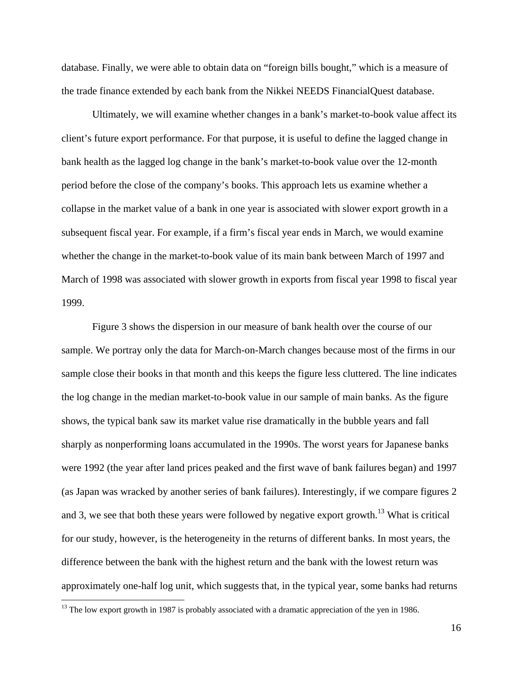database. Finally, we were able to obtain data on "foreign bills bought," which is a measure of the trade finance extended by each bank from the Nikkei NEEDS FinancialQuest database.

Ultimately, we will examine whether changes in a bank's market-to-book value affect its client's future export performance. For that purpose, it is useful to define the lagged change in bank health as the lagged log change in the bank's market-to-book value over the 12-month period before the close of the company's books. This approach lets us examine whether a collapse in the market value of a bank in one year is associated with slower export growth in a subsequent fiscal year. For example, if a firm's fiscal year ends in March, we would examine whether the change in the market-to-book value of its main bank between March of 1997 and March of 1998 was associated with slower growth in exports from fiscal year 1998 to fiscal year 1999.

Figure 3 shows the dispersion in our measure of bank health over the course of our sample. We portray only the data for March-on-March changes because most of the firms in our sample close their books in that month and this keeps the figure less cluttered. The line indicates the log change in the median market-to-book value in our sample of main banks. As the figure shows, the typical bank saw its market value rise dramatically in the bubble years and fall sharply as nonperforming loans accumulated in the 1990s. The worst years for Japanese banks were 1992 (the year after land prices peaked and the first wave of bank failures began) and 1997 (as Japan was wracked by another series of bank failures). Interestingly, if we compare figures 2 and 3, we see that both these years were followed by negative export growth.<sup>13</sup> What is critical for our study, however, is the heterogeneity in the returns of different banks. In most years, the difference between the bank with the highest return and the bank with the lowest return was approximately one-half log unit, which suggests that, in the typical year, some banks had returns

 $13$  The low export growth in 1987 is probably associated with a dramatic appreciation of the yen in 1986.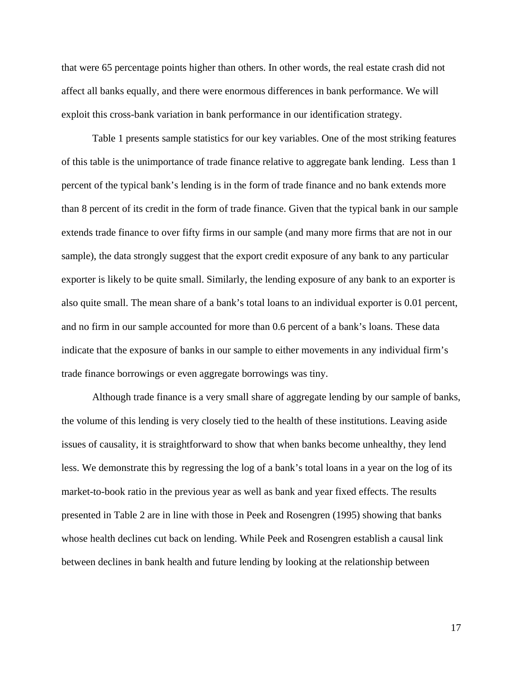that were 65 percentage points higher than others. In other words, the real estate crash did not affect all banks equally, and there were enormous differences in bank performance. We will exploit this cross-bank variation in bank performance in our identification strategy.

Table 1 presents sample statistics for our key variables. One of the most striking features of this table is the unimportance of trade finance relative to aggregate bank lending. Less than 1 percent of the typical bank's lending is in the form of trade finance and no bank extends more than 8 percent of its credit in the form of trade finance. Given that the typical bank in our sample extends trade finance to over fifty firms in our sample (and many more firms that are not in our sample), the data strongly suggest that the export credit exposure of any bank to any particular exporter is likely to be quite small. Similarly, the lending exposure of any bank to an exporter is also quite small. The mean share of a bank's total loans to an individual exporter is 0.01 percent, and no firm in our sample accounted for more than 0.6 percent of a bank's loans. These data indicate that the exposure of banks in our sample to either movements in any individual firm's trade finance borrowings or even aggregate borrowings was tiny.

Although trade finance is a very small share of aggregate lending by our sample of banks, the volume of this lending is very closely tied to the health of these institutions. Leaving aside issues of causality, it is straightforward to show that when banks become unhealthy, they lend less. We demonstrate this by regressing the log of a bank's total loans in a year on the log of its market-to-book ratio in the previous year as well as bank and year fixed effects. The results presented in Table 2 are in line with those in Peek and Rosengren (1995) showing that banks whose health declines cut back on lending. While Peek and Rosengren establish a causal link between declines in bank health and future lending by looking at the relationship between

17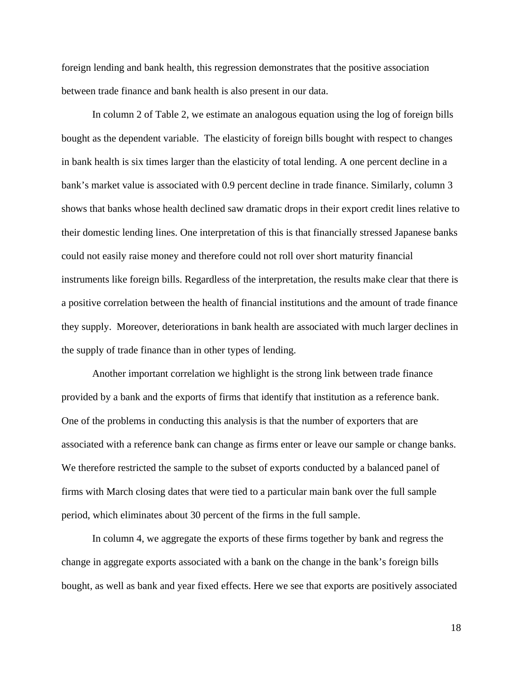foreign lending and bank health, this regression demonstrates that the positive association between trade finance and bank health is also present in our data.

In column 2 of Table 2, we estimate an analogous equation using the log of foreign bills bought as the dependent variable. The elasticity of foreign bills bought with respect to changes in bank health is six times larger than the elasticity of total lending. A one percent decline in a bank's market value is associated with 0.9 percent decline in trade finance. Similarly, column 3 shows that banks whose health declined saw dramatic drops in their export credit lines relative to their domestic lending lines. One interpretation of this is that financially stressed Japanese banks could not easily raise money and therefore could not roll over short maturity financial instruments like foreign bills. Regardless of the interpretation, the results make clear that there is a positive correlation between the health of financial institutions and the amount of trade finance they supply. Moreover, deteriorations in bank health are associated with much larger declines in the supply of trade finance than in other types of lending.

Another important correlation we highlight is the strong link between trade finance provided by a bank and the exports of firms that identify that institution as a reference bank. One of the problems in conducting this analysis is that the number of exporters that are associated with a reference bank can change as firms enter or leave our sample or change banks. We therefore restricted the sample to the subset of exports conducted by a balanced panel of firms with March closing dates that were tied to a particular main bank over the full sample period, which eliminates about 30 percent of the firms in the full sample.

In column 4, we aggregate the exports of these firms together by bank and regress the change in aggregate exports associated with a bank on the change in the bank's foreign bills bought, as well as bank and year fixed effects. Here we see that exports are positively associated

18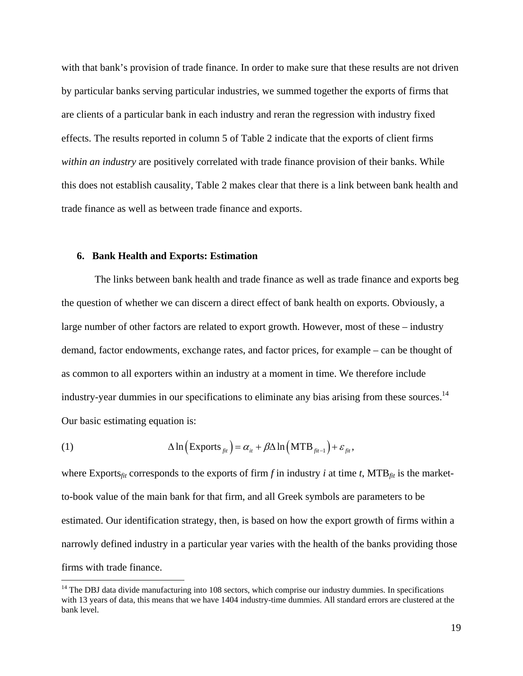with that bank's provision of trade finance. In order to make sure that these results are not driven by particular banks serving particular industries, we summed together the exports of firms that are clients of a particular bank in each industry and reran the regression with industry fixed effects. The results reported in column 5 of Table 2 indicate that the exports of client firms *within an industry* are positively correlated with trade finance provision of their banks. While this does not establish causality, Table 2 makes clear that there is a link between bank health and trade finance as well as between trade finance and exports.

#### **6. Bank Health and Exports: Estimation**

 $\overline{a}$ 

 The links between bank health and trade finance as well as trade finance and exports beg the question of whether we can discern a direct effect of bank health on exports. Obviously, a large number of other factors are related to export growth. However, most of these – industry demand, factor endowments, exchange rates, and factor prices, for example – can be thought of as common to all exporters within an industry at a moment in time. We therefore include industry-year dummies in our specifications to eliminate any bias arising from these sources.<sup>14</sup> Our basic estimating equation is:

(1) 
$$
\Delta \ln \left( \text{Exports}_{\text{fit}} \right) = \alpha_{it} + \beta \Delta \ln \left( \text{MTB}_{\text{fit-1}} \right) + \varepsilon_{\text{fit}},
$$

where Exports<sub>fit</sub> corresponds to the exports of firm f in industry *i* at time *t*, MTB<sub>fit</sub> is the marketto-book value of the main bank for that firm, and all Greek symbols are parameters to be estimated. Our identification strategy, then, is based on how the export growth of firms within a narrowly defined industry in a particular year varies with the health of the banks providing those firms with trade finance.

 $14$  The DBJ data divide manufacturing into 108 sectors, which comprise our industry dummies. In specifications with 13 years of data, this means that we have 1404 industry-time dummies. All standard errors are clustered at the bank level.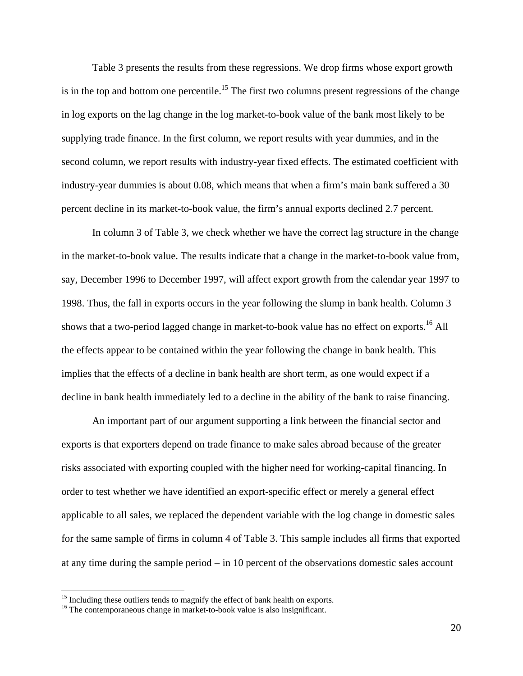Table 3 presents the results from these regressions. We drop firms whose export growth is in the top and bottom one percentile.<sup>15</sup> The first two columns present regressions of the change in log exports on the lag change in the log market-to-book value of the bank most likely to be supplying trade finance. In the first column, we report results with year dummies, and in the second column, we report results with industry-year fixed effects. The estimated coefficient with industry-year dummies is about 0.08, which means that when a firm's main bank suffered a 30 percent decline in its market-to-book value, the firm's annual exports declined 2.7 percent.

In column 3 of Table 3, we check whether we have the correct lag structure in the change in the market-to-book value. The results indicate that a change in the market-to-book value from, say, December 1996 to December 1997, will affect export growth from the calendar year 1997 to 1998. Thus, the fall in exports occurs in the year following the slump in bank health. Column 3 shows that a two-period lagged change in market-to-book value has no effect on exports.<sup>16</sup> All the effects appear to be contained within the year following the change in bank health. This implies that the effects of a decline in bank health are short term, as one would expect if a decline in bank health immediately led to a decline in the ability of the bank to raise financing.

An important part of our argument supporting a link between the financial sector and exports is that exporters depend on trade finance to make sales abroad because of the greater risks associated with exporting coupled with the higher need for working-capital financing. In order to test whether we have identified an export-specific effect or merely a general effect applicable to all sales, we replaced the dependent variable with the log change in domestic sales for the same sample of firms in column 4 of Table 3. This sample includes all firms that exported at any time during the sample period  $-$  in 10 percent of the observations domestic sales account

 $15$  Including these outliers tends to magnify the effect of bank health on exports.  $16$  The contemporaneous change in market-to-book value is also insignificant.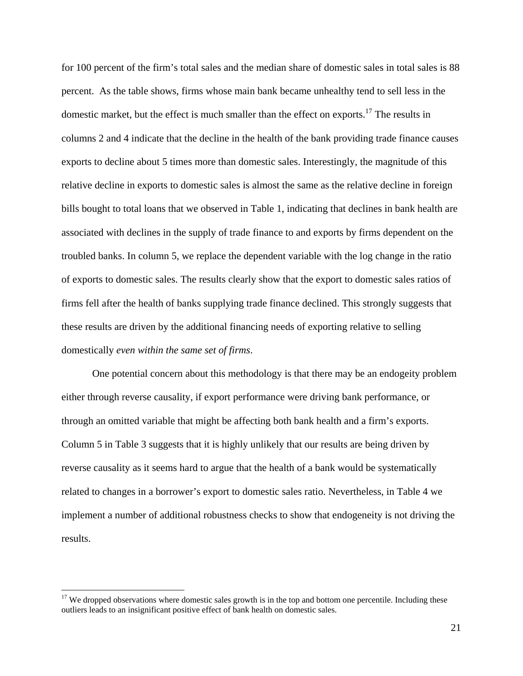for 100 percent of the firm's total sales and the median share of domestic sales in total sales is 88 percent. As the table shows, firms whose main bank became unhealthy tend to sell less in the domestic market, but the effect is much smaller than the effect on exports.<sup>17</sup> The results in columns 2 and 4 indicate that the decline in the health of the bank providing trade finance causes exports to decline about 5 times more than domestic sales. Interestingly, the magnitude of this relative decline in exports to domestic sales is almost the same as the relative decline in foreign bills bought to total loans that we observed in Table 1, indicating that declines in bank health are associated with declines in the supply of trade finance to and exports by firms dependent on the troubled banks. In column 5, we replace the dependent variable with the log change in the ratio of exports to domestic sales. The results clearly show that the export to domestic sales ratios of firms fell after the health of banks supplying trade finance declined. This strongly suggests that these results are driven by the additional financing needs of exporting relative to selling domestically *even within the same set of firms*.

One potential concern about this methodology is that there may be an endogeity problem either through reverse causality, if export performance were driving bank performance, or through an omitted variable that might be affecting both bank health and a firm's exports. Column 5 in Table 3 suggests that it is highly unlikely that our results are being driven by reverse causality as it seems hard to argue that the health of a bank would be systematically related to changes in a borrower's export to domestic sales ratio. Nevertheless, in Table 4 we implement a number of additional robustness checks to show that endogeneity is not driving the results.

 $17$  We dropped observations where domestic sales growth is in the top and bottom one percentile. Including these outliers leads to an insignificant positive effect of bank health on domestic sales.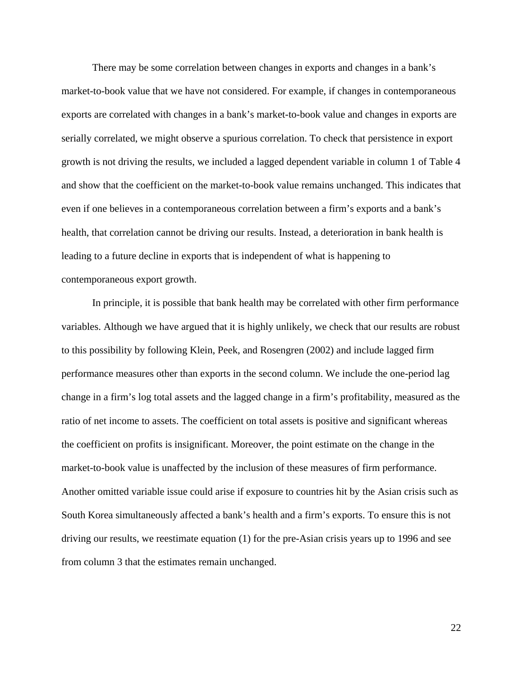There may be some correlation between changes in exports and changes in a bank's market-to-book value that we have not considered. For example, if changes in contemporaneous exports are correlated with changes in a bank's market-to-book value and changes in exports are serially correlated, we might observe a spurious correlation. To check that persistence in export growth is not driving the results, we included a lagged dependent variable in column 1 of Table 4 and show that the coefficient on the market-to-book value remains unchanged. This indicates that even if one believes in a contemporaneous correlation between a firm's exports and a bank's health, that correlation cannot be driving our results. Instead, a deterioration in bank health is leading to a future decline in exports that is independent of what is happening to contemporaneous export growth.

In principle, it is possible that bank health may be correlated with other firm performance variables. Although we have argued that it is highly unlikely, we check that our results are robust to this possibility by following Klein, Peek, and Rosengren (2002) and include lagged firm performance measures other than exports in the second column. We include the one-period lag change in a firm's log total assets and the lagged change in a firm's profitability, measured as the ratio of net income to assets. The coefficient on total assets is positive and significant whereas the coefficient on profits is insignificant. Moreover, the point estimate on the change in the market-to-book value is unaffected by the inclusion of these measures of firm performance. Another omitted variable issue could arise if exposure to countries hit by the Asian crisis such as South Korea simultaneously affected a bank's health and a firm's exports. To ensure this is not driving our results, we reestimate equation (1) for the pre-Asian crisis years up to 1996 and see from column 3 that the estimates remain unchanged.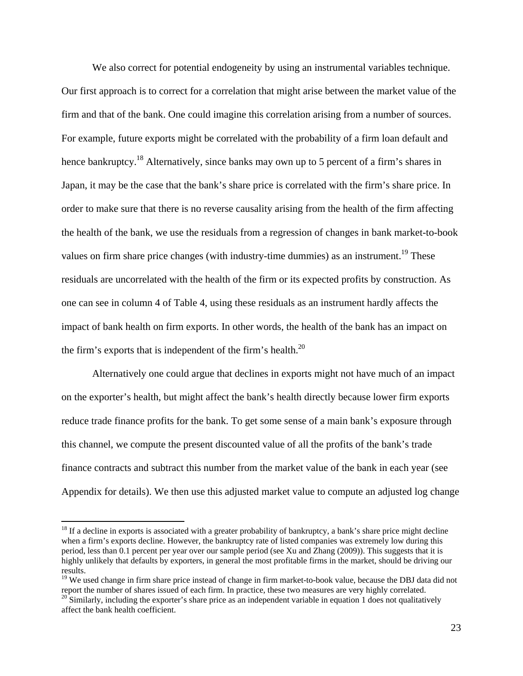We also correct for potential endogeneity by using an instrumental variables technique. Our first approach is to correct for a correlation that might arise between the market value of the firm and that of the bank. One could imagine this correlation arising from a number of sources. For example, future exports might be correlated with the probability of a firm loan default and hence bankruptcy.<sup>18</sup> Alternatively, since banks may own up to 5 percent of a firm's shares in Japan, it may be the case that the bank's share price is correlated with the firm's share price. In order to make sure that there is no reverse causality arising from the health of the firm affecting the health of the bank, we use the residuals from a regression of changes in bank market-to-book values on firm share price changes (with industry-time dummies) as an instrument.<sup>19</sup> These residuals are uncorrelated with the health of the firm or its expected profits by construction. As one can see in column 4 of Table 4, using these residuals as an instrument hardly affects the impact of bank health on firm exports. In other words, the health of the bank has an impact on the firm's exports that is independent of the firm's health. $^{20}$ 

Alternatively one could argue that declines in exports might not have much of an impact on the exporter's health, but might affect the bank's health directly because lower firm exports reduce trade finance profits for the bank. To get some sense of a main bank's exposure through this channel, we compute the present discounted value of all the profits of the bank's trade finance contracts and subtract this number from the market value of the bank in each year (see Appendix for details). We then use this adjusted market value to compute an adjusted log change

 $18$  If a decline in exports is associated with a greater probability of bankruptcy, a bank's share price might decline when a firm's exports decline. However, the bankruptcy rate of listed companies was extremely low during this period, less than 0.1 percent per year over our sample period (see Xu and Zhang (2009)). This suggests that it is highly unlikely that defaults by exporters, in general the most profitable firms in the market, should be driving our results.

<sup>&</sup>lt;sup>19</sup> We used change in firm share price instead of change in firm market-to-book value, because the DBJ data did not report the number of shares issued of each firm. In practice, these two measures are very highly correla

 $20$  Similarly, including the exporter's share price as an independent variable in equation 1 does not qualitatively affect the bank health coefficient.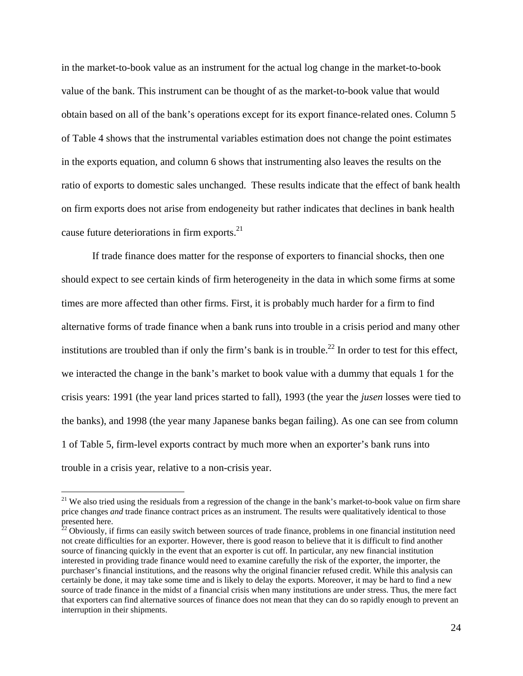in the market-to-book value as an instrument for the actual log change in the market-to-book value of the bank. This instrument can be thought of as the market-to-book value that would obtain based on all of the bank's operations except for its export finance-related ones. Column 5 of Table 4 shows that the instrumental variables estimation does not change the point estimates in the exports equation, and column 6 shows that instrumenting also leaves the results on the ratio of exports to domestic sales unchanged. These results indicate that the effect of bank health on firm exports does not arise from endogeneity but rather indicates that declines in bank health cause future deteriorations in firm exports. $^{21}$ 

If trade finance does matter for the response of exporters to financial shocks, then one should expect to see certain kinds of firm heterogeneity in the data in which some firms at some times are more affected than other firms. First, it is probably much harder for a firm to find alternative forms of trade finance when a bank runs into trouble in a crisis period and many other institutions are troubled than if only the firm's bank is in trouble.<sup>22</sup> In order to test for this effect, we interacted the change in the bank's market to book value with a dummy that equals 1 for the crisis years: 1991 (the year land prices started to fall), 1993 (the year the *jusen* losses were tied to the banks), and 1998 (the year many Japanese banks began failing). As one can see from column 1 of Table 5, firm-level exports contract by much more when an exporter's bank runs into trouble in a crisis year, relative to a non-crisis year.

1

 $21$  We also tried using the residuals from a regression of the change in the bank's market-to-book value on firm share price changes *and* trade finance contract prices as an instrument. The results were qualitatively identical to those presented here.

 $22$  Obviously, if firms can easily switch between sources of trade finance, problems in one financial institution need not create difficulties for an exporter. However, there is good reason to believe that it is difficult to find another source of financing quickly in the event that an exporter is cut off. In particular, any new financial institution interested in providing trade finance would need to examine carefully the risk of the exporter, the importer, the purchaser's financial institutions, and the reasons why the original financier refused credit. While this analysis can certainly be done, it may take some time and is likely to delay the exports. Moreover, it may be hard to find a new source of trade finance in the midst of a financial crisis when many institutions are under stress. Thus, the mere fact that exporters can find alternative sources of finance does not mean that they can do so rapidly enough to prevent an interruption in their shipments.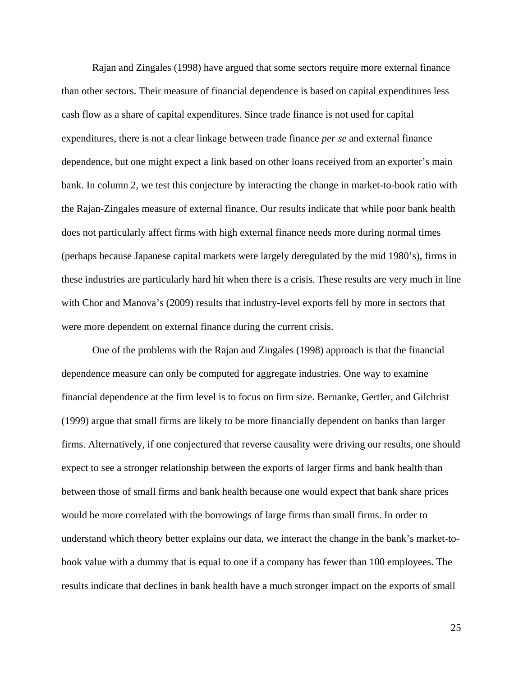Rajan and Zingales (1998) have argued that some sectors require more external finance than other sectors. Their measure of financial dependence is based on capital expenditures less cash flow as a share of capital expenditures. Since trade finance is not used for capital expenditures, there is not a clear linkage between trade finance *per se* and external finance dependence, but one might expect a link based on other loans received from an exporter's main bank. In column 2, we test this conjecture by interacting the change in market-to-book ratio with the Rajan-Zingales measure of external finance. Our results indicate that while poor bank health does not particularly affect firms with high external finance needs more during normal times (perhaps because Japanese capital markets were largely deregulated by the mid 1980's), firms in these industries are particularly hard hit when there is a crisis. These results are very much in line with Chor and Manova's (2009) results that industry-level exports fell by more in sectors that were more dependent on external finance during the current crisis.

One of the problems with the Rajan and Zingales (1998) approach is that the financial dependence measure can only be computed for aggregate industries. One way to examine financial dependence at the firm level is to focus on firm size. Bernanke, Gertler, and Gilchrist (1999) argue that small firms are likely to be more financially dependent on banks than larger firms. Alternatively, if one conjectured that reverse causality were driving our results, one should expect to see a stronger relationship between the exports of larger firms and bank health than between those of small firms and bank health because one would expect that bank share prices would be more correlated with the borrowings of large firms than small firms. In order to understand which theory better explains our data, we interact the change in the bank's market-tobook value with a dummy that is equal to one if a company has fewer than 100 employees. The results indicate that declines in bank health have a much stronger impact on the exports of small

25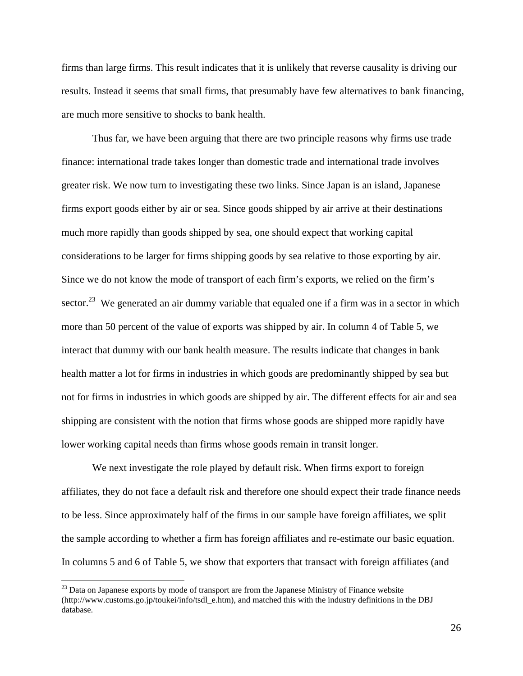firms than large firms. This result indicates that it is unlikely that reverse causality is driving our results. Instead it seems that small firms, that presumably have few alternatives to bank financing, are much more sensitive to shocks to bank health.

Thus far, we have been arguing that there are two principle reasons why firms use trade finance: international trade takes longer than domestic trade and international trade involves greater risk. We now turn to investigating these two links. Since Japan is an island, Japanese firms export goods either by air or sea. Since goods shipped by air arrive at their destinations much more rapidly than goods shipped by sea, one should expect that working capital considerations to be larger for firms shipping goods by sea relative to those exporting by air. Since we do not know the mode of transport of each firm's exports, we relied on the firm's sector.<sup>23</sup> We generated an air dummy variable that equaled one if a firm was in a sector in which more than 50 percent of the value of exports was shipped by air. In column 4 of Table 5, we interact that dummy with our bank health measure. The results indicate that changes in bank health matter a lot for firms in industries in which goods are predominantly shipped by sea but not for firms in industries in which goods are shipped by air. The different effects for air and sea shipping are consistent with the notion that firms whose goods are shipped more rapidly have lower working capital needs than firms whose goods remain in transit longer.

We next investigate the role played by default risk. When firms export to foreign affiliates, they do not face a default risk and therefore one should expect their trade finance needs to be less. Since approximately half of the firms in our sample have foreign affiliates, we split the sample according to whether a firm has foreign affiliates and re-estimate our basic equation. In columns 5 and 6 of Table 5, we show that exporters that transact with foreign affiliates (and

 $23$  Data on Japanese exports by mode of transport are from the Japanese Ministry of Finance website (http://www.customs.go.jp/toukei/info/tsdl\_e.htm), and matched this with the industry definitions in the DBJ database.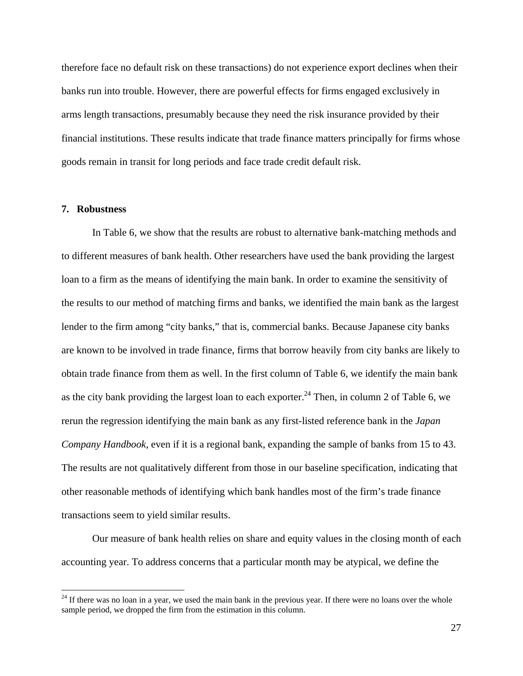therefore face no default risk on these transactions) do not experience export declines when their banks run into trouble. However, there are powerful effects for firms engaged exclusively in arms length transactions, presumably because they need the risk insurance provided by their financial institutions. These results indicate that trade finance matters principally for firms whose goods remain in transit for long periods and face trade credit default risk.

#### **7. Robustness**

 $\overline{a}$ 

In Table 6, we show that the results are robust to alternative bank-matching methods and to different measures of bank health. Other researchers have used the bank providing the largest loan to a firm as the means of identifying the main bank. In order to examine the sensitivity of the results to our method of matching firms and banks, we identified the main bank as the largest lender to the firm among "city banks," that is, commercial banks. Because Japanese city banks are known to be involved in trade finance, firms that borrow heavily from city banks are likely to obtain trade finance from them as well. In the first column of Table 6, we identify the main bank as the city bank providing the largest loan to each exporter.<sup>24</sup> Then, in column 2 of Table 6, we rerun the regression identifying the main bank as any first-listed reference bank in the *Japan Company Handbook*, even if it is a regional bank, expanding the sample of banks from 15 to 43. The results are not qualitatively different from those in our baseline specification, indicating that other reasonable methods of identifying which bank handles most of the firm's trade finance transactions seem to yield similar results.

Our measure of bank health relies on share and equity values in the closing month of each accounting year. To address concerns that a particular month may be atypical, we define the

 $24$  If there was no loan in a year, we used the main bank in the previous year. If there were no loans over the whole sample period, we dropped the firm from the estimation in this column.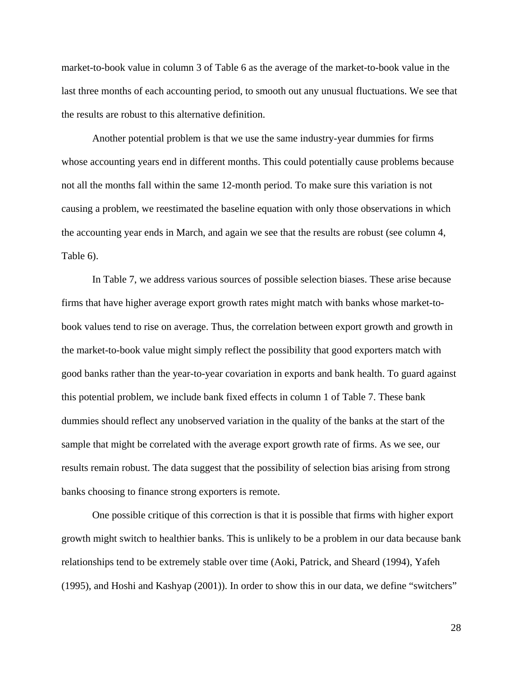market-to-book value in column 3 of Table 6 as the average of the market-to-book value in the last three months of each accounting period, to smooth out any unusual fluctuations. We see that the results are robust to this alternative definition.

Another potential problem is that we use the same industry-year dummies for firms whose accounting years end in different months. This could potentially cause problems because not all the months fall within the same 12-month period. To make sure this variation is not causing a problem, we reestimated the baseline equation with only those observations in which the accounting year ends in March, and again we see that the results are robust (see column 4, Table 6).

In Table 7, we address various sources of possible selection biases. These arise because firms that have higher average export growth rates might match with banks whose market-tobook values tend to rise on average. Thus, the correlation between export growth and growth in the market-to-book value might simply reflect the possibility that good exporters match with good banks rather than the year-to-year covariation in exports and bank health. To guard against this potential problem, we include bank fixed effects in column 1 of Table 7. These bank dummies should reflect any unobserved variation in the quality of the banks at the start of the sample that might be correlated with the average export growth rate of firms. As we see, our results remain robust. The data suggest that the possibility of selection bias arising from strong banks choosing to finance strong exporters is remote.

One possible critique of this correction is that it is possible that firms with higher export growth might switch to healthier banks. This is unlikely to be a problem in our data because bank relationships tend to be extremely stable over time (Aoki, Patrick, and Sheard (1994), Yafeh (1995), and Hoshi and Kashyap (2001)). In order to show this in our data, we define "switchers"

28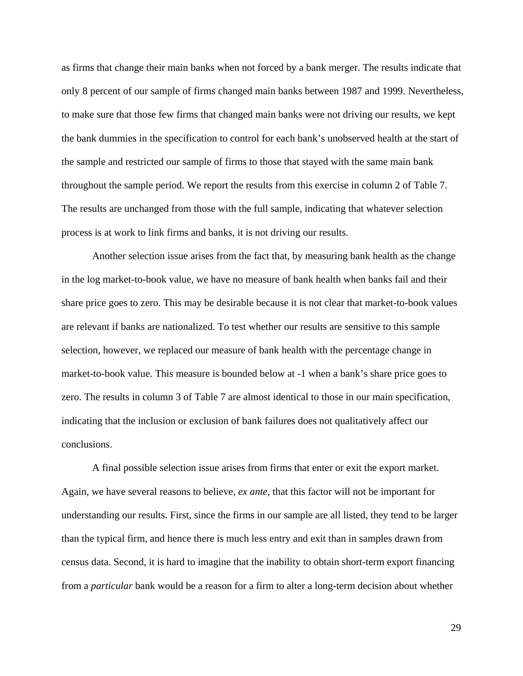as firms that change their main banks when not forced by a bank merger. The results indicate that only 8 percent of our sample of firms changed main banks between 1987 and 1999. Nevertheless, to make sure that those few firms that changed main banks were not driving our results, we kept the bank dummies in the specification to control for each bank's unobserved health at the start of the sample and restricted our sample of firms to those that stayed with the same main bank throughout the sample period. We report the results from this exercise in column 2 of Table 7. The results are unchanged from those with the full sample, indicating that whatever selection process is at work to link firms and banks, it is not driving our results.

Another selection issue arises from the fact that, by measuring bank health as the change in the log market-to-book value, we have no measure of bank health when banks fail and their share price goes to zero. This may be desirable because it is not clear that market-to-book values are relevant if banks are nationalized. To test whether our results are sensitive to this sample selection, however, we replaced our measure of bank health with the percentage change in market-to-book value. This measure is bounded below at -1 when a bank's share price goes to zero. The results in column 3 of Table 7 are almost identical to those in our main specification, indicating that the inclusion or exclusion of bank failures does not qualitatively affect our conclusions.

A final possible selection issue arises from firms that enter or exit the export market. Again, we have several reasons to believe, *ex ante*, that this factor will not be important for understanding our results. First, since the firms in our sample are all listed, they tend to be larger than the typical firm, and hence there is much less entry and exit than in samples drawn from census data. Second, it is hard to imagine that the inability to obtain short-term export financing from a *particular* bank would be a reason for a firm to alter a long-term decision about whether

29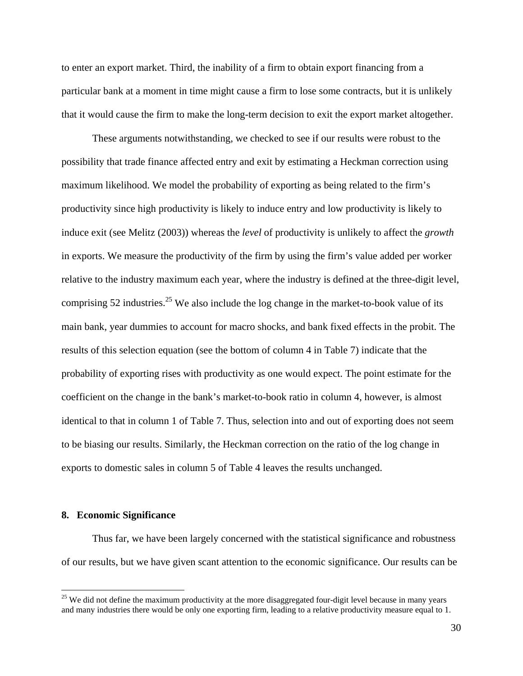to enter an export market. Third, the inability of a firm to obtain export financing from a particular bank at a moment in time might cause a firm to lose some contracts, but it is unlikely that it would cause the firm to make the long-term decision to exit the export market altogether.

These arguments notwithstanding, we checked to see if our results were robust to the possibility that trade finance affected entry and exit by estimating a Heckman correction using maximum likelihood. We model the probability of exporting as being related to the firm's productivity since high productivity is likely to induce entry and low productivity is likely to induce exit (see Melitz (2003)) whereas the *level* of productivity is unlikely to affect the *growth* in exports. We measure the productivity of the firm by using the firm's value added per worker relative to the industry maximum each year, where the industry is defined at the three-digit level, comprising 52 industries.<sup>25</sup> We also include the log change in the market-to-book value of its main bank, year dummies to account for macro shocks, and bank fixed effects in the probit. The results of this selection equation (see the bottom of column 4 in Table 7) indicate that the probability of exporting rises with productivity as one would expect. The point estimate for the coefficient on the change in the bank's market-to-book ratio in column 4, however, is almost identical to that in column 1 of Table 7. Thus, selection into and out of exporting does not seem to be biasing our results. Similarly, the Heckman correction on the ratio of the log change in exports to domestic sales in column 5 of Table 4 leaves the results unchanged.

#### **8. Economic Significance**

 $\overline{a}$ 

Thus far, we have been largely concerned with the statistical significance and robustness of our results, but we have given scant attention to the economic significance. Our results can be

 $25$  We did not define the maximum productivity at the more disaggregated four-digit level because in many years and many industries there would be only one exporting firm, leading to a relative productivity measure equal to 1.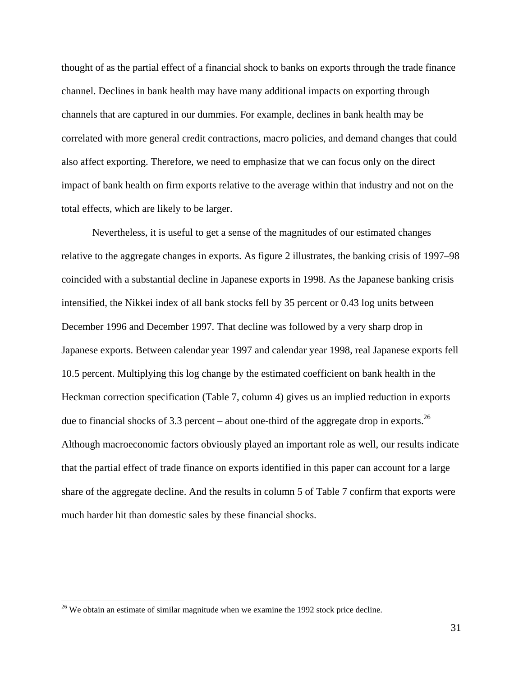thought of as the partial effect of a financial shock to banks on exports through the trade finance channel. Declines in bank health may have many additional impacts on exporting through channels that are captured in our dummies. For example, declines in bank health may be correlated with more general credit contractions, macro policies, and demand changes that could also affect exporting. Therefore, we need to emphasize that we can focus only on the direct impact of bank health on firm exports relative to the average within that industry and not on the total effects, which are likely to be larger.

Nevertheless, it is useful to get a sense of the magnitudes of our estimated changes relative to the aggregate changes in exports. As figure 2 illustrates, the banking crisis of 1997–98 coincided with a substantial decline in Japanese exports in 1998. As the Japanese banking crisis intensified, the Nikkei index of all bank stocks fell by 35 percent or 0.43 log units between December 1996 and December 1997. That decline was followed by a very sharp drop in Japanese exports. Between calendar year 1997 and calendar year 1998, real Japanese exports fell 10.5 percent. Multiplying this log change by the estimated coefficient on bank health in the Heckman correction specification (Table 7, column 4) gives us an implied reduction in exports due to financial shocks of 3.3 percent – about one-third of the aggregate drop in exports.<sup>26</sup> Although macroeconomic factors obviously played an important role as well, our results indicate that the partial effect of trade finance on exports identified in this paper can account for a large share of the aggregate decline. And the results in column 5 of Table 7 confirm that exports were much harder hit than domestic sales by these financial shocks.

<u>.</u>

 $26$  We obtain an estimate of similar magnitude when we examine the 1992 stock price decline.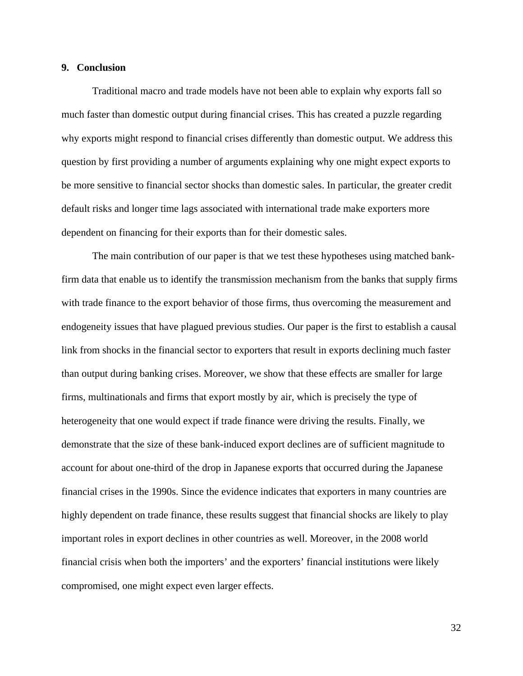#### **9. Conclusion**

 Traditional macro and trade models have not been able to explain why exports fall so much faster than domestic output during financial crises. This has created a puzzle regarding why exports might respond to financial crises differently than domestic output. We address this question by first providing a number of arguments explaining why one might expect exports to be more sensitive to financial sector shocks than domestic sales. In particular, the greater credit default risks and longer time lags associated with international trade make exporters more dependent on financing for their exports than for their domestic sales.

The main contribution of our paper is that we test these hypotheses using matched bankfirm data that enable us to identify the transmission mechanism from the banks that supply firms with trade finance to the export behavior of those firms, thus overcoming the measurement and endogeneity issues that have plagued previous studies. Our paper is the first to establish a causal link from shocks in the financial sector to exporters that result in exports declining much faster than output during banking crises. Moreover, we show that these effects are smaller for large firms, multinationals and firms that export mostly by air, which is precisely the type of heterogeneity that one would expect if trade finance were driving the results. Finally, we demonstrate that the size of these bank-induced export declines are of sufficient magnitude to account for about one-third of the drop in Japanese exports that occurred during the Japanese financial crises in the 1990s. Since the evidence indicates that exporters in many countries are highly dependent on trade finance, these results suggest that financial shocks are likely to play important roles in export declines in other countries as well. Moreover, in the 2008 world financial crisis when both the importers' and the exporters' financial institutions were likely compromised, one might expect even larger effects.

32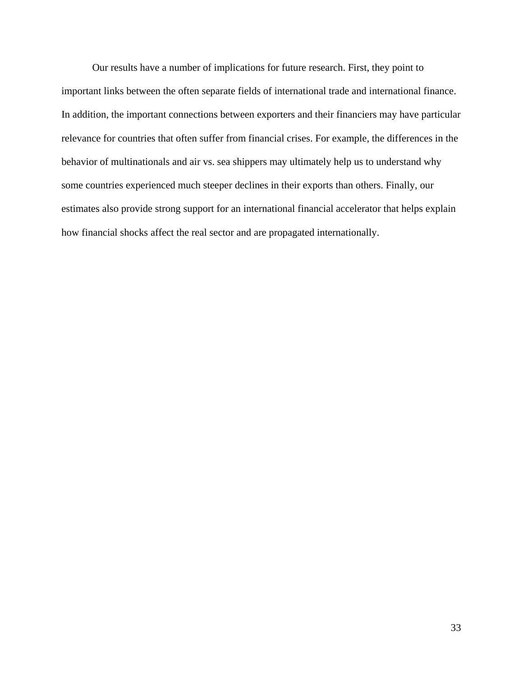Our results have a number of implications for future research. First, they point to important links between the often separate fields of international trade and international finance. In addition, the important connections between exporters and their financiers may have particular relevance for countries that often suffer from financial crises. For example, the differences in the behavior of multinationals and air vs. sea shippers may ultimately help us to understand why some countries experienced much steeper declines in their exports than others. Finally, our estimates also provide strong support for an international financial accelerator that helps explain how financial shocks affect the real sector and are propagated internationally.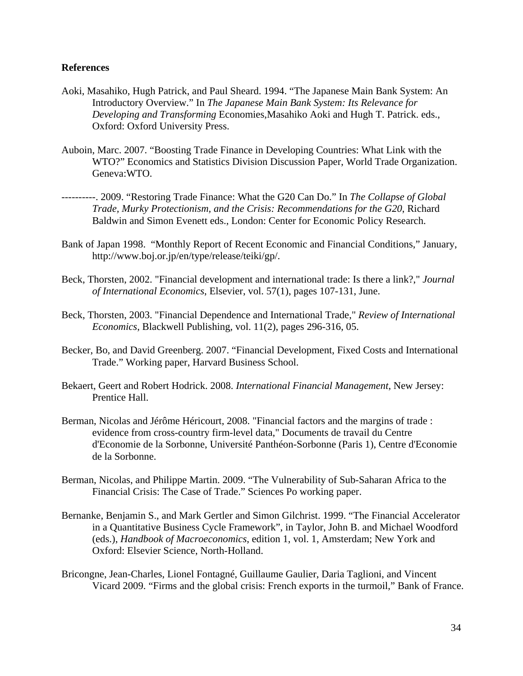# **References**

- Aoki, Masahiko, Hugh Patrick, and Paul Sheard. 1994. "The Japanese Main Bank System: An Introductory Overview." In *The Japanese Main Bank System: Its Relevance for Developing and Transforming* Economies,Masahiko Aoki and Hugh T. Patrick. eds., Oxford: Oxford University Press.
- Auboin, Marc. 2007. "Boosting Trade Finance in Developing Countries: What Link with the WTO?" Economics and Statistics Division Discussion Paper, World Trade Organization. Geneva:WTO.
- ----------. 2009. "Restoring Trade Finance: What the G20 Can Do." In *The Collapse of Global Trade, Murky Protectionism, and the Crisis: Recommendations for the G20*, Richard Baldwin and Simon Evenett eds., London: Center for Economic Policy Research.
- Bank of Japan 1998. "Monthly Report of Recent Economic and Financial Conditions," January, http://www.boj.or.jp/en/type/release/teiki/gp/.
- Beck, Thorsten, 2002. "Financial development and international trade: Is there a link?," *Journal of International Economics*, Elsevier, vol. 57(1), pages 107-131, June.
- Beck, Thorsten, 2003. "Financial Dependence and International Trade," *Review of International Economics*, Blackwell Publishing, vol. 11(2), pages 296-316, 05.
- Becker, Bo, and David Greenberg. 2007. "Financial Development, Fixed Costs and International Trade." Working paper, Harvard Business School.
- Bekaert, Geert and Robert Hodrick. 2008. *International Financial Management*, New Jersey: Prentice Hall.
- Berman, Nicolas and Jérôme Héricourt, 2008. "Financial factors and the margins of trade : evidence from cross-country firm-level data," Documents de travail du Centre d'Economie de la Sorbonne, Université Panthéon-Sorbonne (Paris 1), Centre d'Economie de la Sorbonne.
- Berman, Nicolas, and Philippe Martin. 2009. "The Vulnerability of Sub-Saharan Africa to the Financial Crisis: The Case of Trade." Sciences Po working paper.
- Bernanke, Benjamin S., and Mark Gertler and Simon Gilchrist. 1999. "The Financial Accelerator in a Quantitative Business Cycle Framework", in Taylor, John B. and Michael Woodford (eds.), *Handbook of Macroeconomics*, edition 1, vol. 1, Amsterdam; New York and Oxford: Elsevier Science, North-Holland.
- Bricongne, Jean-Charles, Lionel Fontagné, Guillaume Gaulier, Daria Taglioni, and Vincent Vicard 2009. "Firms and the global crisis: French exports in the turmoil," Bank of France.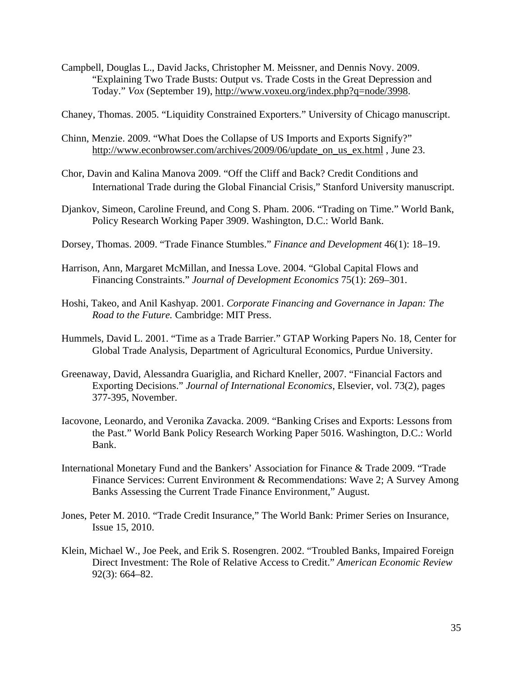- Campbell, Douglas L., David Jacks, Christopher M. Meissner, and Dennis Novy. 2009. "Explaining Two Trade Busts: Output vs. Trade Costs in the Great Depression and Today." *Vox* (September 19), http://www.voxeu.org/index.php?q=node/3998.
- Chaney, Thomas. 2005. "Liquidity Constrained Exporters." University of Chicago manuscript.
- Chinn, Menzie. 2009. "What Does the Collapse of US Imports and Exports Signify?" http://www.econbrowser.com/archives/2009/06/update\_on\_us\_ex.html, June 23.
- Chor, Davin and Kalina Manova 2009. "Off the Cliff and Back? Credit Conditions and International Trade during the Global Financial Crisis," Stanford University manuscript.
- Djankov, Simeon, Caroline Freund, and Cong S. Pham. 2006. "Trading on Time." World Bank, Policy Research Working Paper 3909. Washington, D.C.: World Bank.
- Dorsey, Thomas. 2009. "Trade Finance Stumbles." *Finance and Development* 46(1): 18–19.
- Harrison, Ann, Margaret McMillan, and Inessa Love. 2004. "Global Capital Flows and Financing Constraints." *Journal of Development Economics* 75(1): 269–301.
- Hoshi, Takeo, and Anil Kashyap. 2001. *Corporate Financing and Governance in Japan: The Road to the Future.* Cambridge: MIT Press.
- Hummels, David L. 2001. "Time as a Trade Barrier." GTAP Working Papers No. 18, Center for Global Trade Analysis, Department of Agricultural Economics, Purdue University.
- Greenaway, David, Alessandra Guariglia, and Richard Kneller, 2007. "Financial Factors and Exporting Decisions." *Journal of International Economics*, Elsevier, vol. 73(2), pages 377-395, November.
- Iacovone, Leonardo, and Veronika Zavacka. 2009. "Banking Crises and Exports: Lessons from the Past." World Bank Policy Research Working Paper 5016. Washington, D.C.: World Bank.
- International Monetary Fund and the Bankers' Association for Finance & Trade 2009. "Trade Finance Services: Current Environment & Recommendations: Wave 2; A Survey Among Banks Assessing the Current Trade Finance Environment," August.
- Jones, Peter M. 2010. "Trade Credit Insurance," The World Bank: Primer Series on Insurance, Issue 15, 2010.
- Klein, Michael W., Joe Peek, and Erik S. Rosengren. 2002. "Troubled Banks, Impaired Foreign Direct Investment: The Role of Relative Access to Credit." *American Economic Review* 92(3): 664–82.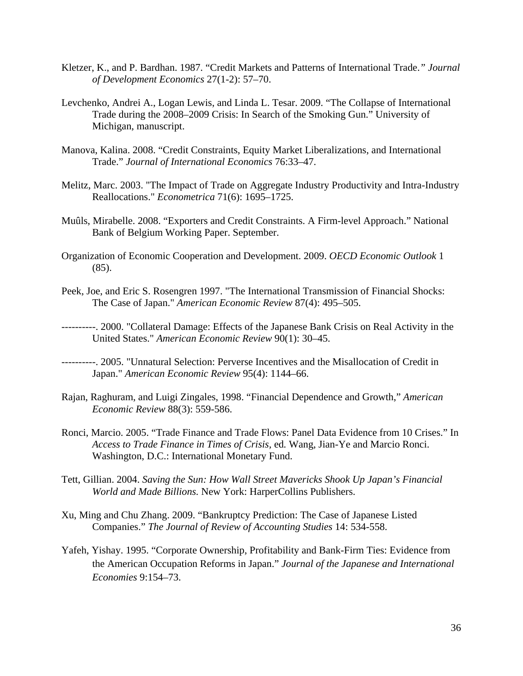- Kletzer, K., and P. Bardhan. 1987. "Credit Markets and Patterns of International Trade.*" Journal of Development Economics* 27(1-2): 57–70.
- Levchenko, Andrei A., Logan Lewis, and Linda L. Tesar. 2009. "The Collapse of International Trade during the 2008–2009 Crisis: In Search of the Smoking Gun." University of Michigan, manuscript.
- Manova, Kalina. 2008. "Credit Constraints, Equity Market Liberalizations, and International Trade." *Journal of International Economics* 76:33–47.
- Melitz, Marc. 2003. "The Impact of Trade on Aggregate Industry Productivity and Intra-Industry Reallocations." *Econometrica* 71(6): 1695–1725.
- Muûls, Mirabelle. 2008. "Exporters and Credit Constraints. A Firm-level Approach." National Bank of Belgium Working Paper. September.
- Organization of Economic Cooperation and Development. 2009. *OECD Economic Outlook* 1 (85).
- Peek, Joe, and Eric S. Rosengren 1997. "The International Transmission of Financial Shocks: The Case of Japan." *American Economic Review* 87(4): 495–505.
- ----------. 2000. "Collateral Damage: Effects of the Japanese Bank Crisis on Real Activity in the United States." *American Economic Review* 90(1): 30–45.
- ----------. 2005. "Unnatural Selection: Perverse Incentives and the Misallocation of Credit in Japan." *American Economic Review* 95(4): 1144–66.
- Rajan, Raghuram, and Luigi Zingales, 1998. "Financial Dependence and Growth," *American Economic Review* 88(3): 559-586.
- Ronci, Marcio. 2005. "Trade Finance and Trade Flows: Panel Data Evidence from 10 Crises." In *Access to Trade Finance in Times of Crisis,* ed*.* Wang, Jian-Ye and Marcio Ronci. Washington, D.C.: International Monetary Fund.
- Tett, Gillian. 2004. *Saving the Sun: How Wall Street Mavericks Shook Up Japan's Financial World and Made Billions.* New York: HarperCollins Publishers.
- Xu, Ming and Chu Zhang. 2009. "Bankruptcy Prediction: The Case of Japanese Listed Companies." *The Journal of Review of Accounting Studies* 14: 534-558.
- Yafeh, Yishay. 1995. "Corporate Ownership, Profitability and Bank-Firm Ties: Evidence from the American Occupation Reforms in Japan." *Journal of the Japanese and International Economies* 9:154–73.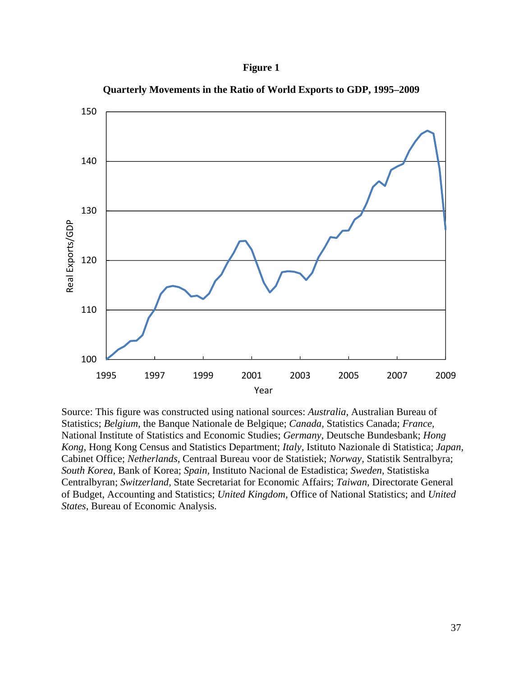# **Figure 1**



**Quarterly Movements in the Ratio of World Exports to GDP, 1995–2009** 

Source: This figure was constructed using national sources: *Australia,* Australian Bureau of Statistics; *Belgium,* the Banque Nationale de Belgique; *Canada,* Statistics Canada; *France,* National Institute of Statistics and Economic Studies; *Germany,* Deutsche Bundesbank; *Hong Kong,* Hong Kong Census and Statistics Department; *Italy,* Istituto Nazionale di Statistica; *Japan,* Cabinet Office; *Netherlands,* Centraal Bureau voor de Statistiek; *Norway,* Statistik Sentralbyra; *South Korea,* Bank of Korea; *Spain,* Instituto Nacional de Estadistica; *Sweden,* Statistiska Centralbyran; *Switzerland,* State Secretariat for Economic Affairs; *Taiwan,* Directorate General of Budget, Accounting and Statistics; *United Kingdom,* Office of National Statistics; and *United States,* Bureau of Economic Analysis.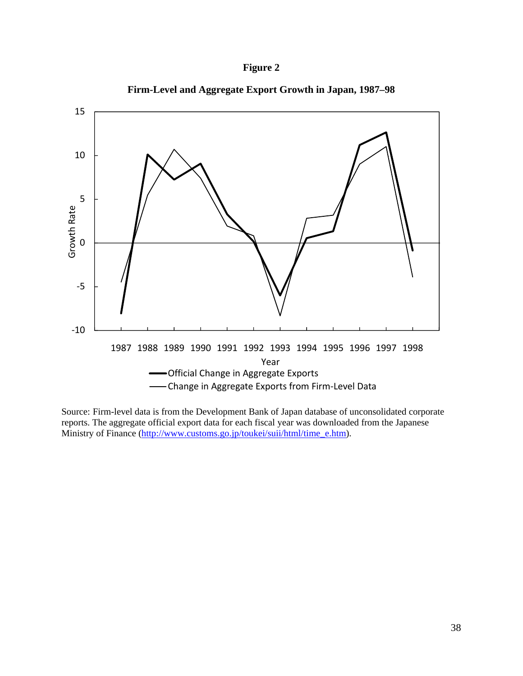



**Firm-Level and Aggregate Export Growth in Japan, 1987–98** 

Source: Firm-level data is from the Development Bank of Japan database of unconsolidated corporate reports. The aggregate official export data for each fiscal year was downloaded from the Japanese Ministry of Finance (http://www.customs.go.jp/toukei/suii/html/time\_e.htm).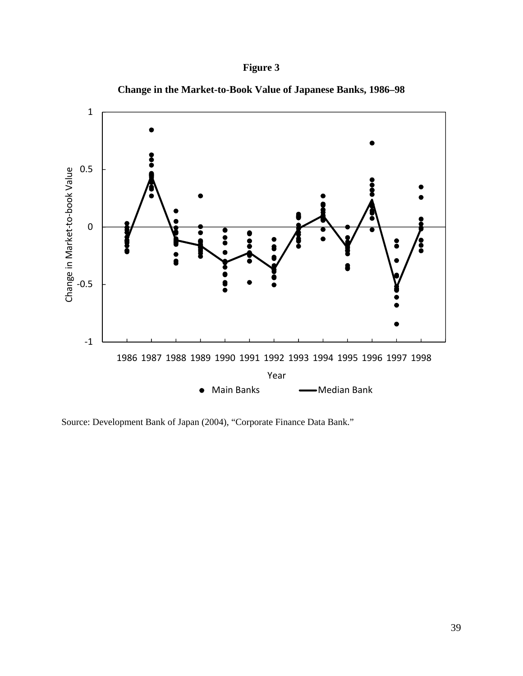# **Figure 3**





Source: Development Bank of Japan (2004), "Corporate Finance Data Bank."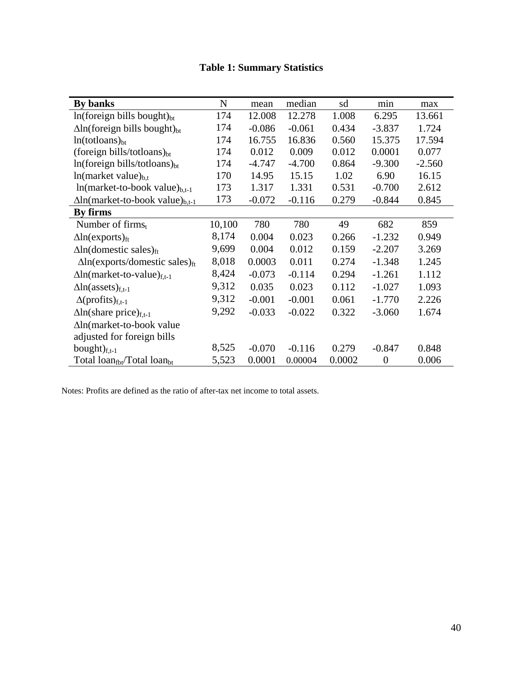|  | <b>Table 1: Summary Statistics</b> |  |
|--|------------------------------------|--|
|--|------------------------------------|--|

| By banks                                            | N      | mean     | median   | sd     | min              | max      |
|-----------------------------------------------------|--------|----------|----------|--------|------------------|----------|
| $ln(foreign)$ bills bought) $_{bt}$                 | 174    | 12.008   | 12.278   | 1.008  | 6.295            | 13.661   |
| $\Delta$ ln(foreign bills bought) <sub>bt</sub>     | 174    | $-0.086$ | $-0.061$ | 0.434  | $-3.837$         | 1.724    |
| $ln(totloans)_{bt}$                                 | 174    | 16.755   | 16.836   | 0.560  | 15.375           | 17.594   |
| (foreign bills/totloans) $_{bt}$                    | 174    | 0.012    | 0.009    | 0.012  | 0.0001           | 0.077    |
| $ln(foreign\, bills/totloans)_{bt}$                 | 174    | $-4.747$ | $-4.700$ | 0.864  | $-9.300$         | $-2.560$ |
| $ln(maxket value)_{b,t}$                            | 170    | 14.95    | 15.15    | 1.02   | 6.90             | 16.15    |
| $ln(maxket-to-book value)_{b,t-1}$                  | 173    | 1.317    | 1.331    | 0.531  | $-0.700$         | 2.612    |
| $\Delta$ ln(market-to-book value) <sub>b,t-1</sub>  | 173    | $-0.072$ | $-0.116$ | 0.279  | $-0.844$         | 0.845    |
| By firms                                            |        |          |          |        |                  |          |
| Number of firms $t$                                 | 10,100 | 780      | 780      | 49     | 682              | 859      |
| $\Delta$ ln(exports) <sub>ft</sub>                  | 8,174  | 0.004    | 0.023    | 0.266  | $-1.232$         | 0.949    |
| $\Delta$ ln(domestic sales) <sub>ft</sub>           | 9,699  | 0.004    | 0.012    | 0.159  | $-2.207$         | 3.269    |
| $\Delta$ ln(exports/domestic sales) <sub>ft</sub>   | 8,018  | 0.0003   | 0.011    | 0.274  | $-1.348$         | 1.245    |
| $\Delta$ ln(market-to-value) <sub>f.t-1</sub>       | 8,424  | $-0.073$ | $-0.114$ | 0.294  | $-1.261$         | 1.112    |
| $\Delta$ ln(assets) <sub>f,t-1</sub>                | 9,312  | 0.035    | 0.023    | 0.112  | $-1.027$         | 1.093    |
| $\Delta$ (profits) <sub>f,t-1</sub>                 | 9,312  | $-0.001$ | $-0.001$ | 0.061  | $-1.770$         | 2.226    |
| $\Delta$ ln(share price) <sub>f.t-1</sub>           | 9,292  | $-0.033$ | $-0.022$ | 0.322  | $-3.060$         | 1.674    |
| ∆ln(market-to-book value                            |        |          |          |        |                  |          |
| adjusted for foreign bills                          |        |          |          |        |                  |          |
| bought $)_{f,t-1}$                                  | 8,525  | $-0.070$ | $-0.116$ | 0.279  | $-0.847$         | 0.848    |
| Total loan <sub>fbt</sub> /Total loan <sub>bt</sub> | 5,523  | 0.0001   | 0.00004  | 0.0002 | $\boldsymbol{0}$ | 0.006    |

Notes: Profits are defined as the ratio of after-tax net income to total assets.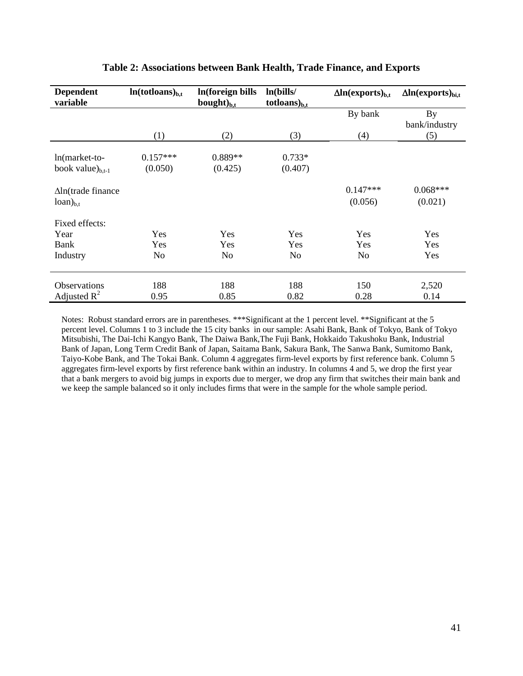| <b>Dependent</b><br>variable | $ln(totloans)_{b,t}$ | In(foreign bills<br>bought $)_{b,t}$ | ln(bills/<br>$totloans)_{b.t}$ | $\Delta$ ln(exports) <sub>b.t</sub> | $\Delta$ ln(exports) <sub>bi.t</sub> |
|------------------------------|----------------------|--------------------------------------|--------------------------------|-------------------------------------|--------------------------------------|
|                              |                      |                                      |                                | By bank                             | <b>By</b>                            |
|                              |                      |                                      |                                |                                     | bank/industry                        |
|                              | (1)                  | (2)                                  | (3)                            | (4)                                 | (5)                                  |
|                              |                      |                                      |                                |                                     |                                      |
| $ln(maxket-to-$              | $0.157***$           | 0.889**                              | $0.733*$                       |                                     |                                      |
| book value $)_{b,t-1}$       | (0.050)              | (0.425)                              | (0.407)                        |                                     |                                      |
| $\Delta$ ln(trade finance    |                      |                                      |                                | $0.147***$                          | $0.068***$                           |
| $loan)_{b,t}$                |                      |                                      |                                | (0.056)                             | (0.021)                              |
| Fixed effects:               |                      |                                      |                                |                                     |                                      |
| Year                         | Yes                  | Yes                                  | Yes                            | Yes                                 | Yes                                  |
| Bank                         | Yes                  | Yes                                  | Yes                            | Yes                                 | Yes                                  |
| Industry                     | No                   | N <sub>o</sub>                       | N <sub>o</sub>                 | N <sub>o</sub>                      | Yes                                  |
| <b>Observations</b>          | 188                  | 188                                  | 188                            | 150                                 | 2,520                                |
|                              |                      |                                      |                                |                                     |                                      |
| Adjusted $R^2$               | 0.95                 | 0.85                                 | 0.82                           | 0.28                                | 0.14                                 |

# **Table 2: Associations between Bank Health, Trade Finance, and Exports**

Notes: Robust standard errors are in parentheses. \*\*\*Significant at the 1 percent level. \*\*Significant at the 5 percent level. Columns 1 to 3 include the 15 city banks in our sample: Asahi Bank, Bank of Tokyo, Bank of Tokyo Mitsubishi, The Dai-Ichi Kangyo Bank, The Daiwa Bank,The Fuji Bank, Hokkaido Takushoku Bank, Industrial Bank of Japan, Long Term Credit Bank of Japan, Saitama Bank, Sakura Bank, The Sanwa Bank, Sumitomo Bank, Taiyo-Kobe Bank, and The Tokai Bank. Column 4 aggregates firm-level exports by first reference bank. Column 5 aggregates firm-level exports by first reference bank within an industry. In columns 4 and 5, we drop the first year that a bank mergers to avoid big jumps in exports due to merger, we drop any firm that switches their main bank and we keep the sample balanced so it only includes firms that were in the sample for the whole sample period.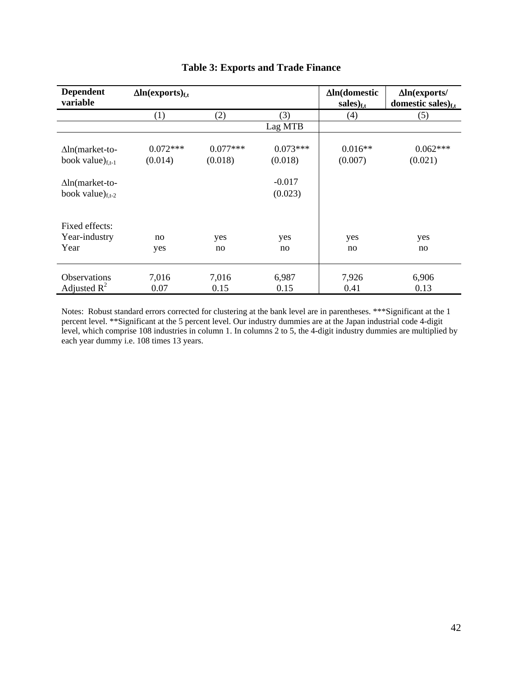| <b>Dependent</b><br>variable                     | $\Delta$ ln(exports) <sub>f.t</sub> |                       |                       | $\Delta$ ln(domestic<br>$sales)_{f,t}$ | $\Delta$ ln(exports/<br>domestic sales) $_{\rm ft}$ |
|--------------------------------------------------|-------------------------------------|-----------------------|-----------------------|----------------------------------------|-----------------------------------------------------|
|                                                  | (1)                                 | (2)                   | (3)                   | (4)                                    | (5)                                                 |
|                                                  |                                     |                       | Lag MTB               |                                        |                                                     |
| $\Delta$ ln(market-to-<br>book value) $_{f,t-1}$ | $0.072***$<br>(0.014)               | $0.077***$<br>(0.018) | $0.073***$<br>(0.018) | $0.016**$<br>(0.007)                   | $0.062***$<br>(0.021)                               |
| $\Delta$ ln(market-to-<br>book value) $_{f,t-2}$ |                                     |                       | $-0.017$<br>(0.023)   |                                        |                                                     |
| Fixed effects:<br>Year-industry<br>Year          | no<br>yes                           | yes<br>no             | yes<br>no             | yes<br>no                              | yes<br>no                                           |
| <b>Observations</b><br>Adjusted $R^2$            | 7,016<br>0.07                       | 7,016<br>0.15         | 6,987<br>0.15         | 7,926<br>0.41                          | 6,906<br>0.13                                       |

# **Table 3: Exports and Trade Finance**

Notes: Robust standard errors corrected for clustering at the bank level are in parentheses. \*\*\*Significant at the 1 percent level. \*\*Significant at the 5 percent level. Our industry dummies are at the Japan industrial code 4-digit level, which comprise 108 industries in column 1. In columns 2 to 5, the 4-digit industry dummies are multiplied by each year dummy i.e. 108 times 13 years.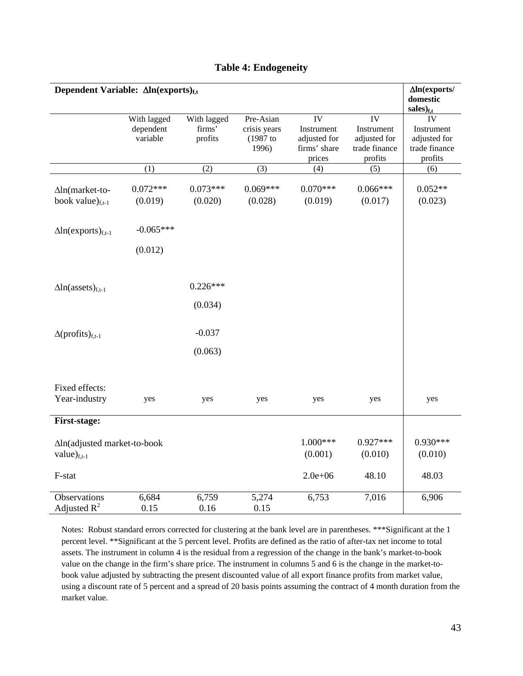| Dependent Variable: $\Delta ln$ (exports) <sub>f.t</sub> |                                      |                                  |                                                  |                                                            |                                                              | $\Delta$ In(exports/<br>domestic<br>$sales)_{f.t}$           |
|----------------------------------------------------------|--------------------------------------|----------------------------------|--------------------------------------------------|------------------------------------------------------------|--------------------------------------------------------------|--------------------------------------------------------------|
|                                                          | With lagged<br>dependent<br>variable | With lagged<br>firms'<br>profits | Pre-Asian<br>crisis years<br>$(1987$ to<br>1996) | IV<br>Instrument<br>adjusted for<br>firms' share<br>prices | IV<br>Instrument<br>adjusted for<br>trade finance<br>profits | IV<br>Instrument<br>adjusted for<br>trade finance<br>profits |
|                                                          | (1)                                  | (2)                              | (3)                                              | (4)                                                        | (5)                                                          | (6)                                                          |
| $\Delta$ ln(market-to-<br>book value) $_{f,t-1}$         | $0.072***$<br>(0.019)                | $0.073***$<br>(0.020)            | $0.069***$<br>(0.028)                            | $0.070***$<br>(0.019)                                      | $0.066***$<br>(0.017)                                        | $0.052**$<br>(0.023)                                         |
| $\Delta$ ln(exports) <sub>f,t-1</sub>                    | $-0.065***$                          |                                  |                                                  |                                                            |                                                              |                                                              |
|                                                          | (0.012)                              |                                  |                                                  |                                                            |                                                              |                                                              |
| $\Delta$ ln(assets) <sub>f.t-1</sub>                     |                                      | $0.226***$                       |                                                  |                                                            |                                                              |                                                              |
|                                                          |                                      | (0.034)                          |                                                  |                                                            |                                                              |                                                              |
| $\Delta$ (profits) <sub>f,t-1</sub>                      |                                      | $-0.037$                         |                                                  |                                                            |                                                              |                                                              |
|                                                          |                                      | (0.063)                          |                                                  |                                                            |                                                              |                                                              |
| Fixed effects:<br>Year-industry                          | yes                                  | yes                              | yes                                              | yes                                                        | yes                                                          | yes                                                          |
| First-stage:                                             |                                      |                                  |                                                  |                                                            |                                                              |                                                              |
| Δln(adjusted market-to-book<br>value $)_{f,t-1}$         |                                      |                                  |                                                  | $1.000***$<br>(0.001)                                      | $0.927***$<br>(0.010)                                        | $0.930***$<br>(0.010)                                        |
| F-stat                                                   |                                      |                                  |                                                  | $2.0e + 06$                                                | 48.10                                                        | 48.03                                                        |
| Observations<br>Adjusted $R^2$                           | 6,684<br>0.15                        | 6,759<br>0.16                    | 5,274<br>0.15                                    | 6,753                                                      | 7,016                                                        | 6,906                                                        |

# **Table 4: Endogeneity**

Notes: Robust standard errors corrected for clustering at the bank level are in parentheses. \*\*\*Significant at the 1 percent level. \*\*Significant at the 5 percent level. Profits are defined as the ratio of after-tax net income to total assets. The instrument in column 4 is the residual from a regression of the change in the bank's market-to-book value on the change in the firm's share price. The instrument in columns 5 and 6 is the change in the market-tobook value adjusted by subtracting the present discounted value of all export finance profits from market value, using a discount rate of 5 percent and a spread of 20 basis points assuming the contract of 4 month duration from the market value.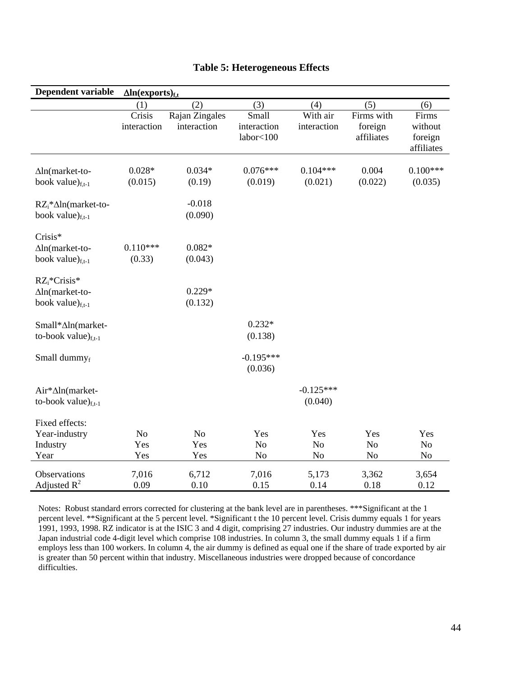| Dependent variable                                                   | $\Delta$ ln(exports) <sub>f,t</sub> |                               |                                         |                             |                                     |                                           |
|----------------------------------------------------------------------|-------------------------------------|-------------------------------|-----------------------------------------|-----------------------------|-------------------------------------|-------------------------------------------|
|                                                                      | (1)                                 | (2)                           | (3)                                     | (4)                         | (5)                                 | (6)                                       |
|                                                                      | Crisis<br>interaction               | Rajan Zingales<br>interaction | Small<br>interaction<br>labor<100       | With air<br>interaction     | Firms with<br>foreign<br>affiliates | Firms<br>without<br>foreign<br>affiliates |
| $\Delta$ ln(market-to-<br>book value) $_{f,t-1}$                     | $0.028*$<br>(0.015)                 | $0.034*$<br>(0.19)            | $0.076***$<br>(0.019)                   | $0.104***$<br>(0.021)       | 0.004<br>(0.022)                    | $0.100***$<br>(0.035)                     |
| $RZ_i^*\Delta ln(market-to-$<br>book value) $_{f,t-1}$               |                                     | $-0.018$<br>(0.090)           |                                         |                             |                                     |                                           |
| Crisis*<br>$\Delta$ ln(market-to-<br>book value) $_{f,t-1}$          | $0.110***$<br>(0.33)                | $0.082*$<br>(0.043)           |                                         |                             |                                     |                                           |
| $RZ_i^*Crisis^*$<br>$\Delta$ ln(market-to-<br>book value) $_{f,t-1}$ |                                     | $0.229*$<br>(0.132)           |                                         |                             |                                     |                                           |
| Small*∆ln(market-<br>to-book value) $_{f,t-1}$                       |                                     |                               | $0.232*$<br>(0.138)                     |                             |                                     |                                           |
| Small dummyf                                                         |                                     |                               | $-0.195***$<br>(0.036)                  |                             |                                     |                                           |
| Air*∆ln(market-<br>to-book value) $_{f,t-1}$                         |                                     |                               |                                         | $-0.125***$<br>(0.040)      |                                     |                                           |
| Fixed effects:<br>Year-industry<br>Industry<br>Year                  | No<br>Yes<br>Yes                    | N <sub>o</sub><br>Yes<br>Yes  | Yes<br>N <sub>o</sub><br>N <sub>0</sub> | Yes<br>N <sub>o</sub><br>No | Yes<br>No<br>N <sub>0</sub>         | Yes<br>$\rm No$<br>No                     |
| Observations<br>Adjusted $R^2$                                       | 7,016<br>0.09                       | 6,712<br>0.10                 | 7,016<br>0.15                           | 5,173<br>0.14               | 3,362<br>0.18                       | 3,654<br>0.12                             |

# **Table 5: Heterogeneous Effects**

Notes: Robust standard errors corrected for clustering at the bank level are in parentheses. \*\*\*Significant at the 1 percent level. \*\*Significant at the 5 percent level. \*Significant t the 10 percent level. Crisis dummy equals 1 for years 1991, 1993, 1998. RZ indicator is at the ISIC 3 and 4 digit, comprising 27 industries. Our industry dummies are at the Japan industrial code 4-digit level which comprise 108 industries. In column 3, the small dummy equals 1 if a firm employs less than 100 workers. In column 4, the air dummy is defined as equal one if the share of trade exported by air is greater than 50 percent within that industry. Miscellaneous industries were dropped because of concordance difficulties.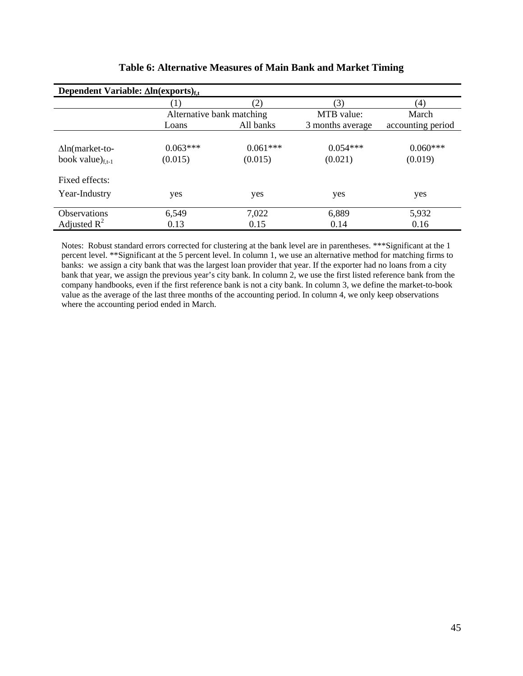| Dependent Variable: $\Delta ln(exports)_{f,t}$ |                           |               |                  |                   |  |  |  |
|------------------------------------------------|---------------------------|---------------|------------------|-------------------|--|--|--|
|                                                | 1)                        | $\mathbf{2})$ | (3)              | (4)               |  |  |  |
|                                                | Alternative bank matching |               | MTB value:       | March             |  |  |  |
|                                                | Loans                     | All banks     | 3 months average | accounting period |  |  |  |
|                                                |                           |               |                  |                   |  |  |  |
| $\Delta$ ln(market-to-                         | $0.063***$                | $0.061***$    | $0.054***$       | $0.060***$        |  |  |  |
| book value) $_{f,t-1}$                         | (0.015)                   | (0.015)       | (0.021)          | (0.019)           |  |  |  |
| Fixed effects:                                 |                           |               |                  |                   |  |  |  |
| Year-Industry                                  | yes                       | yes           | yes              | yes               |  |  |  |
| Observations                                   | 6,549                     | 7,022         | 6,889            | 5,932             |  |  |  |
| Adjusted $R^2$                                 | 0.13                      | 0.15          | 0.14             | 0.16              |  |  |  |

# **Table 6: Alternative Measures of Main Bank and Market Timing**

Notes: Robust standard errors corrected for clustering at the bank level are in parentheses. \*\*\*Significant at the 1 percent level. \*\*Significant at the 5 percent level. In column 1, we use an alternative method for matching firms to banks: we assign a city bank that was the largest loan provider that year. If the exporter had no loans from a city bank that year, we assign the previous year's city bank. In column 2, we use the first listed reference bank from the company handbooks, even if the first reference bank is not a city bank. In column 3, we define the market-to-book value as the average of the last three months of the accounting period. In column 4, we only keep observations where the accounting period ended in March.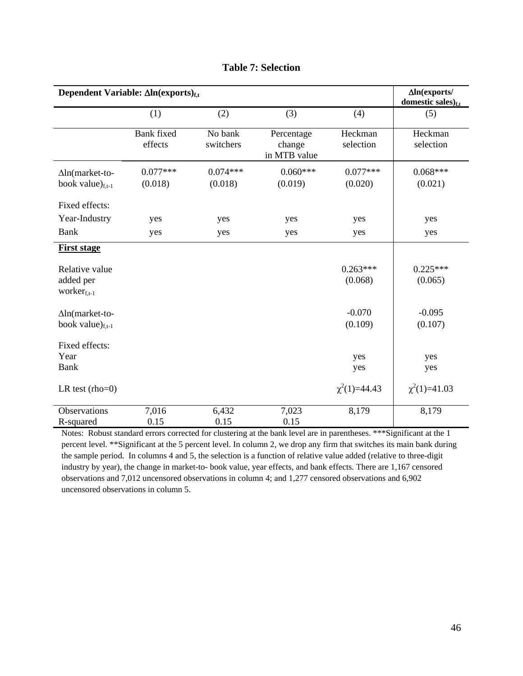| Dependent Variable: $\Delta ln(exports)_{f,t}$    | $\Delta$ ln(exports/<br>domestic sales) $_{f,t}$ |                       |                                      |                       |                       |
|---------------------------------------------------|--------------------------------------------------|-----------------------|--------------------------------------|-----------------------|-----------------------|
|                                                   | (1)                                              | (2)                   | (3)                                  | (4)                   | (5)                   |
|                                                   | <b>Bank</b> fixed<br>effects                     | No bank<br>switchers  | Percentage<br>change<br>in MTB value | Heckman<br>selection  | Heckman<br>selection  |
| $\Delta$ ln(market-to-<br>book value) $_{f,t-1}$  | $0.077***$<br>(0.018)                            | $0.074***$<br>(0.018) | $0.060***$<br>(0.019)                | $0.077***$<br>(0.020) | $0.068***$<br>(0.021) |
| Fixed effects:                                    |                                                  |                       |                                      |                       |                       |
| Year-Industry                                     | yes                                              | yes                   | yes                                  | yes                   | yes                   |
| <b>Bank</b>                                       | yes                                              | yes                   | yes                                  | yes                   | yes                   |
| <b>First stage</b>                                |                                                  |                       |                                      |                       |                       |
| Relative value<br>added per<br>worker $f_{f,t-1}$ |                                                  |                       |                                      | $0.263***$<br>(0.068) | $0.225***$<br>(0.065) |
| $\Delta$ ln(market-to-<br>book value) $_{f,t-1}$  |                                                  |                       |                                      | $-0.070$<br>(0.109)   | $-0.095$<br>(0.107)   |
| Fixed effects:<br>Year<br><b>Bank</b>             |                                                  |                       |                                      | yes<br>yes            | yes<br>yes            |
| LR test $(rho=0)$                                 |                                                  |                       |                                      | $\chi^2(1)=44.43$     | $\chi^2(1)=41.03$     |
| <b>Observations</b><br>R-squared                  | 7,016<br>0.15                                    | 6,432<br>0.15         | 7,023<br>0.15                        | 8,179                 | 8,179                 |

# **Table 7: Selection**

Notes: Robust standard errors corrected for clustering at the bank level are in parentheses. \*\*\*Significant at the 1 percent level. \*\*Significant at the 5 percent level. In column 2, we drop any firm that switches its main bank during the sample period. In columns 4 and 5, the selection is a function of relative value added (relative to three-digit industry by year), the change in market-to- book value, year effects, and bank effects. There are 1,167 censored observations and 7,012 uncensored observations in column 4; and 1,277 censored observations and 6,902 uncensored observations in column 5.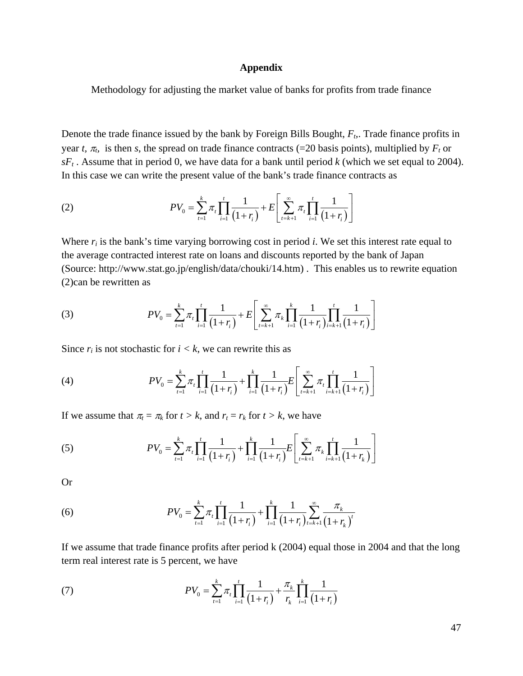#### **Appendix**

Methodology for adjusting the market value of banks for profits from trade finance

Denote the trade finance issued by the bank by Foreign Bills Bought, *Ft,*. Trade finance profits in year *t,*  $\pi$ , is then *s*, the spread on trade finance contracts (=20 basis points), multiplied by  $F_t$  or  $sF_t$ . Assume that in period 0, we have data for a bank until period *k* (which we set equal to 2004). In this case we can write the present value of the bank's trade finance contracts as

(2) 
$$
PV_0 = \sum_{t=1}^k \pi_t \prod_{i=1}^t \frac{1}{(1+r_i)} + E\left[\sum_{t=k+1}^\infty \pi_t \prod_{i=1}^t \frac{1}{(1+r_i)}\right]
$$

Where  $r_i$  is the bank's time varying borrowing cost in period *i*. We set this interest rate equal to the average contracted interest rate on loans and discounts reported by the bank of Japan (Source: http://www.stat.go.jp/english/data/chouki/14.htm) . This enables us to rewrite equation (2)can be rewritten as

(3) 
$$
PV_0 = \sum_{t=1}^k \pi_t \prod_{i=1}^t \frac{1}{(1+r_i)} + E\left[\sum_{t=k+1}^\infty \pi_k \prod_{i=1}^k \frac{1}{(1+r_i)} \prod_{i=k+1}^t \frac{1}{(1+r_i)}\right]
$$

Since  $r_i$  is not stochastic for  $i < k$ , we can rewrite this as

(4) 
$$
PV_0 = \sum_{t=1}^k \pi_t \prod_{i=1}^t \frac{1}{(1+r_i)} + \prod_{i=1}^k \frac{1}{(1+r_i)} E\left[\sum_{t=k+1}^\infty \pi_t \prod_{i=k+1}^t \frac{1}{(1+r_i)}\right]
$$

If we assume that  $\pi_t = \pi_k$  for  $t > k$ , and  $r_t = r_k$  for  $t > k$ , we have

(5) 
$$
PV_0 = \sum_{t=1}^k \pi_t \prod_{i=1}^t \frac{1}{(1+r_i)} + \prod_{i=1}^k \frac{1}{(1+r_i)} E\left[\sum_{t=k+1}^\infty \pi_t \prod_{i=k+1}^t \frac{1}{(1+r_k)}\right]
$$

Or

(6) 
$$
PV_0 = \sum_{t=1}^k \pi_t \prod_{i=1}^t \frac{1}{(1+r_i)} + \prod_{i=1}^k \frac{1}{(1+r_i)} \sum_{t=k+1}^\infty \frac{\pi_k}{(1+r_k)^t}
$$

If we assume that trade finance profits after period k (2004) equal those in 2004 and that the long term real interest rate is 5 percent, we have

(7) 
$$
PV_0 = \sum_{t=1}^k \pi_t \prod_{i=1}^t \frac{1}{(1+r_i)} + \frac{\pi_k}{r_k} \prod_{i=1}^k \frac{1}{(1+r_i)}
$$